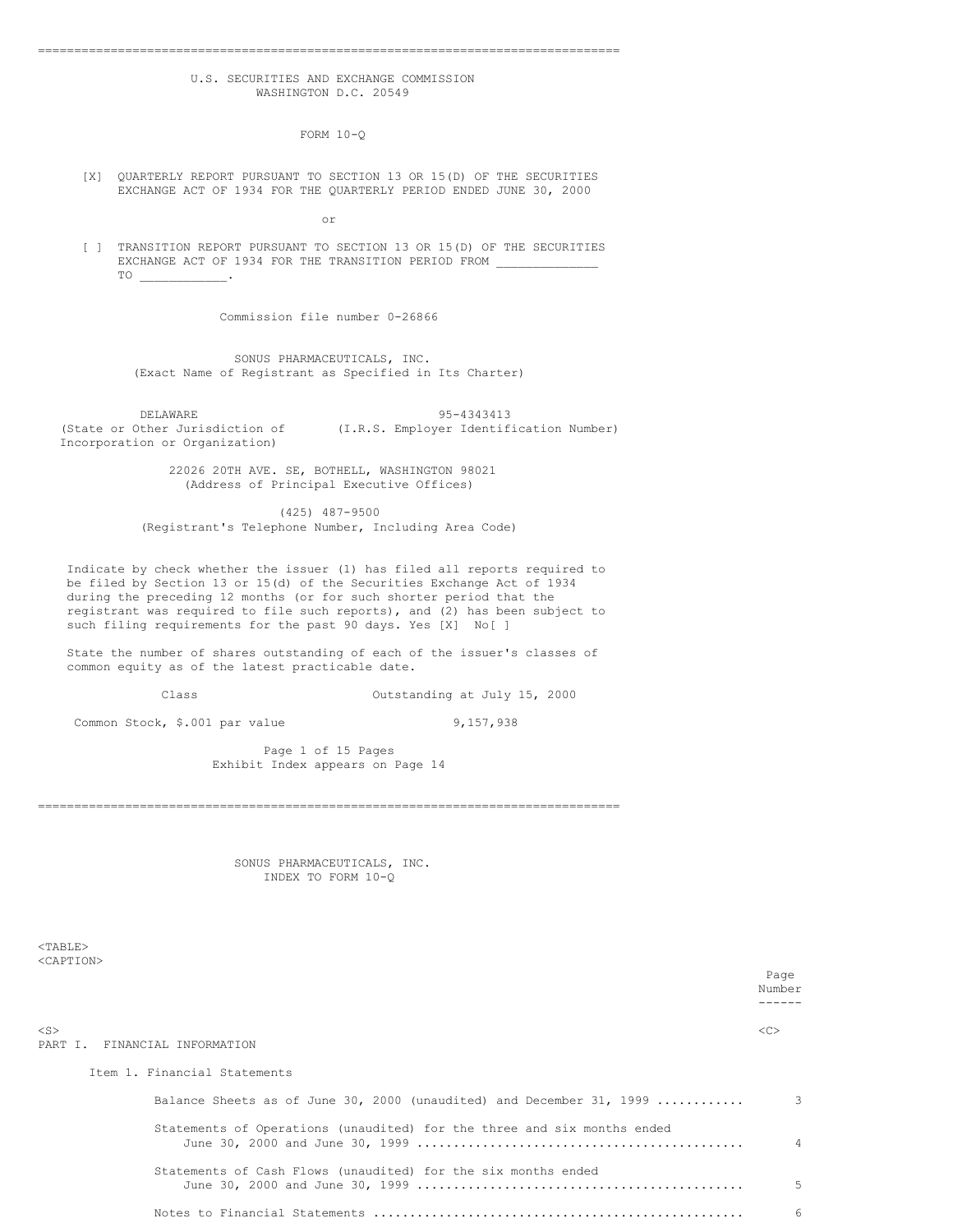# U.S. SECURITIES AND EXCHANGE COMMISSION WASHINGTON D.C. 20549

================================================================================

FORM 10-Q

[X] QUARTERLY REPORT PURSUANT TO SECTION 13 OR 15(D) OF THE SECURITIES EXCHANGE ACT OF 1934 FOR THE QUARTERLY PERIOD ENDED JUNE 30, 2000

or

[ ] TRANSITION REPORT PURSUANT TO SECTION 13 OR 15(D) OF THE SECURITIES EXCHANGE ACT OF 1934 FOR THE TRANSITION PERIOD FROM TO \_\_\_\_\_\_\_\_\_\_\_\_.

Commission file number 0-26866

SONUS PHARMACEUTICALS, INC. (Exact Name of Registrant as Specified in Its Charter)

DELAWARE 95-4343413<br>(State or Other Jurisdiction of (I.R.S. Employer Identif (I.R.S. Employer Identification Number) Incorporation or Organization)

> 22026 20TH AVE. SE, BOTHELL, WASHINGTON 98021 (Address of Principal Executive Offices)

(425) 487-9500 (Registrant's Telephone Number, Including Area Code)

Indicate by check whether the issuer (1) has filed all reports required to be filed by Section 13 or 15(d) of the Securities Exchange Act of 1934 during the preceding 12 months (or for such shorter period that the registrant was required to file such reports), and (2) has been subject to such filing requirements for the past 90 days. Yes [X] No[ ]

State the number of shares outstanding of each of the issuer's classes of common equity as of the latest practicable date.

Class Outstanding at July 15, 2000

Common Stock,  $$.001$  par value 9,157,938

Page 1 of 15 Pages Exhibit Index appears on Page 14

SONUS PHARMACEUTICALS, INC. INDEX TO FORM 10-Q

================================================================================

 $<$ TABLE> <CAPTION>

> Page Number ------

<S> <C> PART I. FINANCIAL INFORMATION

Item 1. Financial Statements

| Balance Sheets as of June 30, 2000 (unaudited) and December 31, 1999    | 3        |
|-------------------------------------------------------------------------|----------|
| Statements of Operations (unaudited) for the three and six months ended | $\Delta$ |
| Statements of Cash Flows (unaudited) for the six months ended           | 5.       |
|                                                                         | 6        |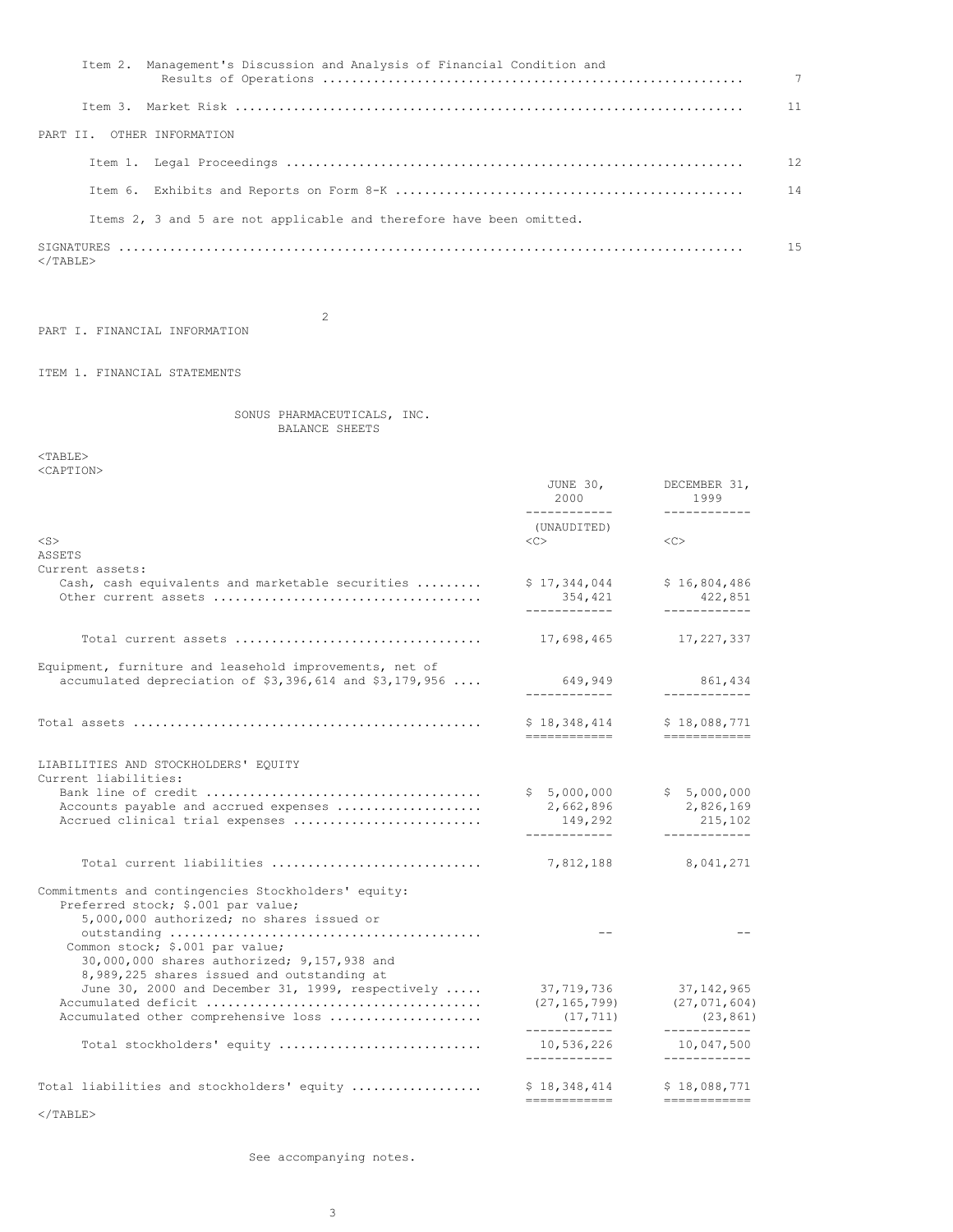|                            | Item 2. Management's Discussion and Analysis of Financial Condition and | $7\overline{ }$ |
|----------------------------|-------------------------------------------------------------------------|-----------------|
|                            |                                                                         | 11              |
| PART II. OTHER INFORMATION |                                                                         |                 |
|                            |                                                                         | 12              |
|                            |                                                                         |                 |
|                            | Items 2, 3 and 5 are not applicable and therefore have been omitted.    |                 |
| $\langle$ /TABLE>          |                                                                         | 1.5             |

PART I. FINANCIAL INFORMATION

ITEM 1. FINANCIAL STATEMENTS

SONUS PHARMACEUTICALS, INC. BALANCE SHEETS

2

<TABLE> <CAPTION>

| NUZIL LEUIV                                                                                                                            | JUNE 30,<br>2000                            | DECEMBER 31,<br>1999                                                                                                                                                                                                                                                                                                                                                                                                                                                                                   |
|----------------------------------------------------------------------------------------------------------------------------------------|---------------------------------------------|--------------------------------------------------------------------------------------------------------------------------------------------------------------------------------------------------------------------------------------------------------------------------------------------------------------------------------------------------------------------------------------------------------------------------------------------------------------------------------------------------------|
|                                                                                                                                        | ------------<br>(UNAUDITED)                 | ------------                                                                                                                                                                                                                                                                                                                                                                                                                                                                                           |
| $<$ S $>$                                                                                                                              | <<                                          | $<$ C $>$                                                                                                                                                                                                                                                                                                                                                                                                                                                                                              |
| <b>ASSETS</b>                                                                                                                          |                                             |                                                                                                                                                                                                                                                                                                                                                                                                                                                                                                        |
| Current assets:<br>Cash, cash equivalents and marketable securities                                                                    | \$17,344,044<br>354,421                     | \$16,804,486<br>422,851                                                                                                                                                                                                                                                                                                                                                                                                                                                                                |
|                                                                                                                                        | -------------                               | ____________                                                                                                                                                                                                                                                                                                                                                                                                                                                                                           |
|                                                                                                                                        | 17,698,465                                  | 17, 227, 337                                                                                                                                                                                                                                                                                                                                                                                                                                                                                           |
| Equipment, furniture and leasehold improvements, net of<br>accumulated depreciation of $$3,396,614$ and $$3,179,956$                   | 649,949                                     | 861,434                                                                                                                                                                                                                                                                                                                                                                                                                                                                                                |
|                                                                                                                                        | ------------                                | ------------                                                                                                                                                                                                                                                                                                                                                                                                                                                                                           |
|                                                                                                                                        | \$18,348,414<br>------------                | \$18,088,771<br>$\begin{array}{cccccccccc} \multicolumn{2}{c}{} & \multicolumn{2}{c}{} & \multicolumn{2}{c}{} & \multicolumn{2}{c}{} & \multicolumn{2}{c}{} & \multicolumn{2}{c}{} & \multicolumn{2}{c}{} & \multicolumn{2}{c}{} & \multicolumn{2}{c}{} & \multicolumn{2}{c}{} & \multicolumn{2}{c}{} & \multicolumn{2}{c}{} & \multicolumn{2}{c}{} & \multicolumn{2}{c}{} & \multicolumn{2}{c}{} & \multicolumn{2}{c}{} & \multicolumn{2}{c}{} & \multicolumn{2}{c}{} & \multicolumn{2}{c}{} & \mult$ |
| LIABILITIES AND STOCKHOLDERS' EQUITY<br>Current liabilities:                                                                           |                                             |                                                                                                                                                                                                                                                                                                                                                                                                                                                                                                        |
|                                                                                                                                        | \$5,000,000                                 | \$5,000,000                                                                                                                                                                                                                                                                                                                                                                                                                                                                                            |
| Accounts payable and accrued expenses                                                                                                  | 2,662,896                                   | 2,826,169                                                                                                                                                                                                                                                                                                                                                                                                                                                                                              |
| Accrued clinical trial expenses                                                                                                        | 149,292<br>------------                     | 215,102<br>------------                                                                                                                                                                                                                                                                                                                                                                                                                                                                                |
| Total current liabilities                                                                                                              | 7,812,188                                   | 8,041,271                                                                                                                                                                                                                                                                                                                                                                                                                                                                                              |
| Commitments and contingencies Stockholders' equity:<br>Preferred stock; \$.001 par value;<br>5,000,000 authorized; no shares issued or |                                             |                                                                                                                                                                                                                                                                                                                                                                                                                                                                                                        |
| Common stock; \$.001 par value;<br>30,000,000 shares authorized; 9,157,938 and                                                         |                                             |                                                                                                                                                                                                                                                                                                                                                                                                                                                                                                        |
| 8,989,225 shares issued and outstanding at                                                                                             |                                             |                                                                                                                                                                                                                                                                                                                                                                                                                                                                                                        |
| June 30, 2000 and December 31, 1999, respectively                                                                                      | 37,719,736                                  | 37, 142, 965                                                                                                                                                                                                                                                                                                                                                                                                                                                                                           |
| Accumulated other comprehensive loss                                                                                                   | (27, 165, 799)<br>(17, 711)                 | (27, 071, 604)<br>(23, 861)                                                                                                                                                                                                                                                                                                                                                                                                                                                                            |
| Total stockholders' equity                                                                                                             | ____________<br>10,536,226<br>------------- | ------------<br>10,047,500                                                                                                                                                                                                                                                                                                                                                                                                                                                                             |
|                                                                                                                                        |                                             | ------------                                                                                                                                                                                                                                                                                                                                                                                                                                                                                           |
| Total liabilities and stockholders' equity                                                                                             | \$18,348,414<br>------------                | \$18,088,771<br>============                                                                                                                                                                                                                                                                                                                                                                                                                                                                           |

 $<$ /TABLE $>$ 

See accompanying notes.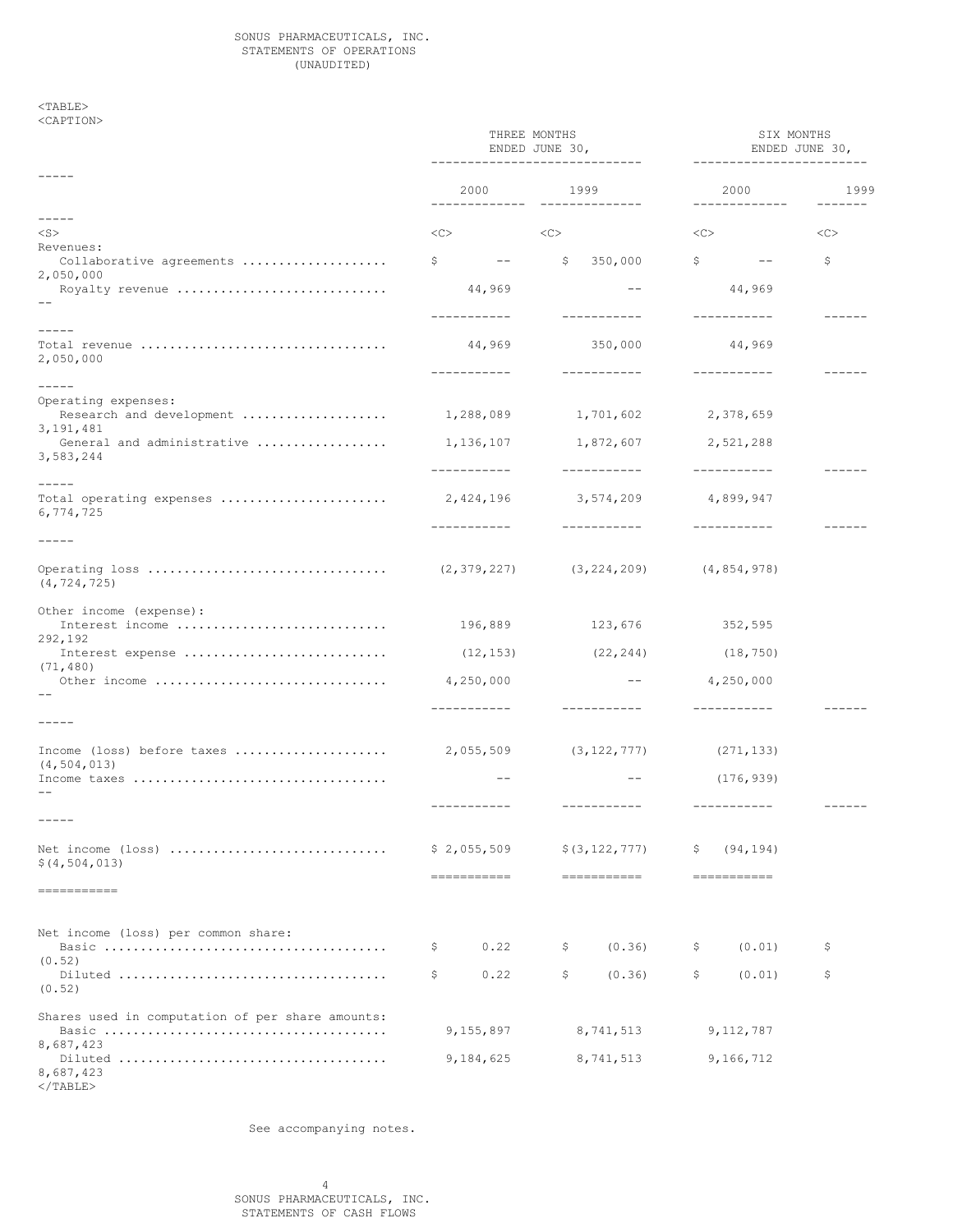### SONUS PHARMACEUTICALS, INC. STATEMENTS OF OPERATIONS (UNAUDITED)

<TABLE> <CAPTION>

|                                                                        | THREE MONTHS<br>ENDED JUNE 30,<br>------------------------------ |                                        | SIX MONTHS<br>ENDED JUNE 30,<br>------------------------ |      |
|------------------------------------------------------------------------|------------------------------------------------------------------|----------------------------------------|----------------------------------------------------------|------|
|                                                                        | 2000                                                             | 1999<br>------------------------------ | 2000<br>_____________                                    | 1999 |
| $- - - - -$<br>$<$ S $>$                                               | $<<$ $<$ $>$                                                     | <<                                     | <<                                                       | <<   |
| Revenues:<br>Collaborative agreements                                  | $\mathfrak{S}$<br>and the state of the                           | \$350,000                              | $\mathsf{S}$<br>$\sim$ $-$                               | \$   |
| 2,050,000<br>Royalty revenue                                           | 44,969                                                           | $- -$                                  | 44,969                                                   |      |
| $- - - - -$                                                            | ___________<br>44,969                                            | ____________                           | ___________                                              |      |
| Total revenue<br>2,050,000                                             | -----------                                                      | 350,000<br>___________                 | 44,969<br>------------                                   |      |
| $- - - - - -$                                                          |                                                                  |                                        |                                                          |      |
| Operating expenses:<br>3, 191, 481                                     |                                                                  |                                        |                                                          |      |
| General and administrative  1,136,107 1,872,607 2,521,288<br>3,583,244 |                                                                  |                                        |                                                          |      |
| $- - - -$                                                              | -----------                                                      | ____________                           | ------------                                             |      |
| 6,774,725                                                              |                                                                  | 3,574,209                              | 4,899,947                                                |      |
| -----                                                                  |                                                                  | ------------                           | -----------                                              |      |
| 0 (4,854,978) (3,224,209) (4,854,978) (2,379,227)<br>(4, 724, 725)     |                                                                  |                                        |                                                          |      |
| Other income (expense):<br>Interest income                             | 196,889                                                          | 123,676                                | 352,595                                                  |      |
| 292,192<br>Interest expense                                            | (12, 153)                                                        | (22, 244)                              | (18, 750)                                                |      |
| (71, 480)<br>Other income                                              | 4,250,000                                                        | $   \sim$                              | 4,250,000                                                |      |
|                                                                        | -----------                                                      | ___________                            |                                                          |      |
| -----                                                                  |                                                                  |                                        |                                                          |      |
| (4, 504, 013)                                                          |                                                                  |                                        | (271, 133)                                               |      |
| Income taxes                                                           | $\qquad \qquad -$                                                | $- -$                                  | (176, 939)                                               |      |
|                                                                        | -----------                                                      |                                        | ------------                                             |      |
| Net income $(\text{loss})$<br>\$(4, 504, 013)                          | \$2,055,509<br>------------                                      | \$ (3, 122, 777)<br>-----------        | (94, 194)<br>Ş<br>-----------                            |      |
| ===========                                                            |                                                                  |                                        |                                                          |      |
| Net income (loss) per common share:                                    |                                                                  |                                        |                                                          |      |
| (0.52)                                                                 | 0.22<br>\$.                                                      | \$<br>(0.36)                           | \$<br>(0.01)                                             | \$   |
| (0.52)                                                                 | \$<br>0.22                                                       | \$<br>(0.36)                           | \$<br>(0.01)                                             | \$.  |
| Shares used in computation of per share amounts:                       | 9,155,897                                                        | 8,741,513                              | 9,112,787                                                |      |
| 8,687,423<br>8,687,423<br>$<$ /TABLE>                                  | 9,184,625                                                        | 8,741,513                              | 9,166,712                                                |      |

See accompanying notes.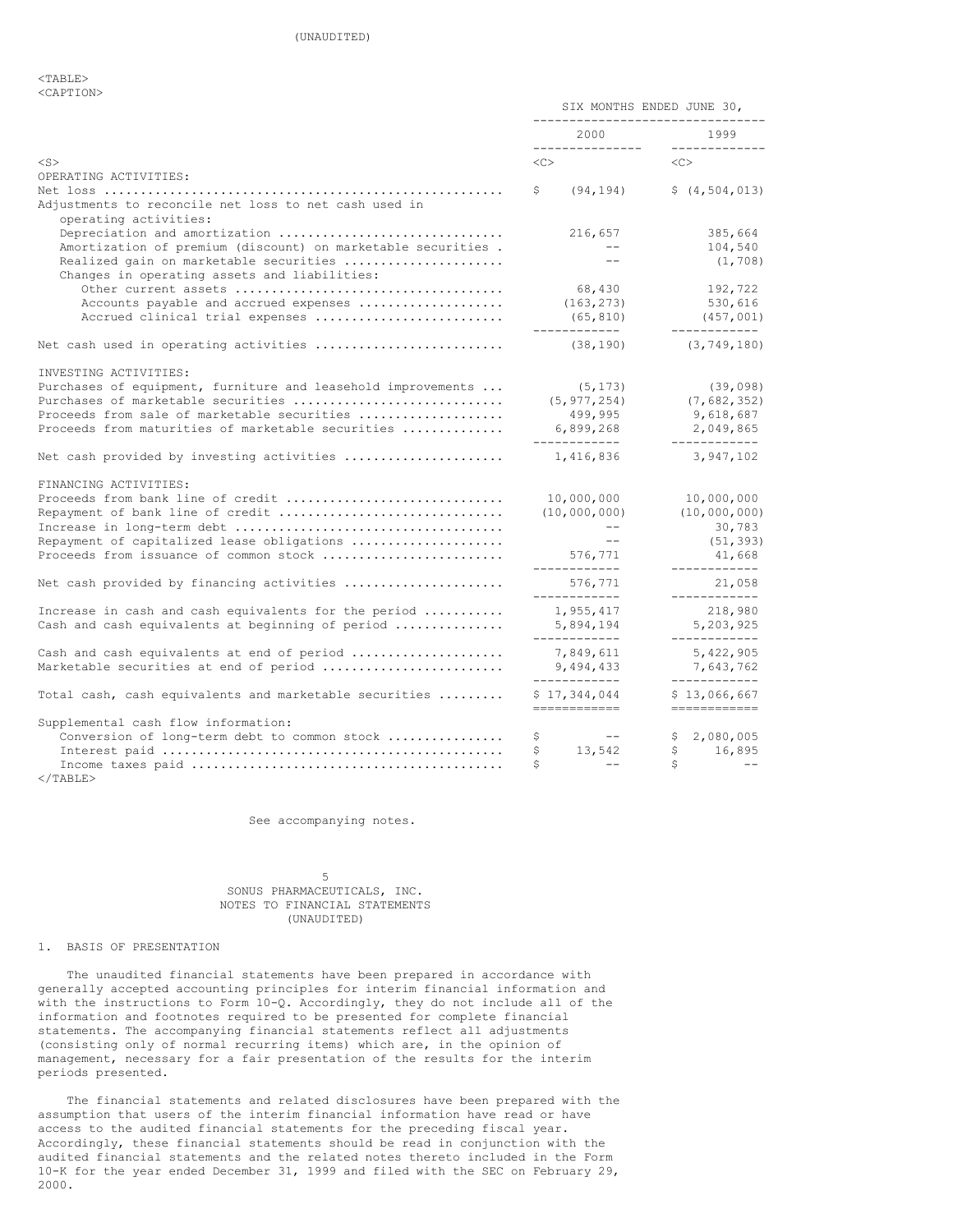<TABLE> <CAPTION>

|                                                                                        | SIX MONTHS ENDED JUNE 30,<br>--------------------------------- |                              |
|----------------------------------------------------------------------------------------|----------------------------------------------------------------|------------------------------|
|                                                                                        | 2000<br>----------------                                       | 1999<br>_____________        |
| $<$ S $>$                                                                              | $<\infty$                                                      | <<>                          |
| OPERATING ACTIVITIES:                                                                  |                                                                |                              |
| Adjustments to reconcile net loss to net cash used in<br>operating activities:         | (94, 194)<br>\$                                                | \$(4, 504, 013)              |
| Depreciation and amortization                                                          | 216,657                                                        | 385,664                      |
| Amortization of premium (discount) on marketable securities.                           | $---$                                                          | 104,540                      |
| Realized gain on marketable securities<br>Changes in operating assets and liabilities: | $---$                                                          | (1, 708)                     |
|                                                                                        | 68,430                                                         | 192,722                      |
| Accounts payable and accrued expenses                                                  | (163, 273)                                                     | 530,616                      |
| Accrued clinical trial expenses                                                        | (65, 810)                                                      | (457, 001)<br>------------   |
| Net cash used in operating activities                                                  | (38, 190)                                                      | (3, 749, 180)                |
| INVESTING ACTIVITIES:                                                                  |                                                                |                              |
| Purchases of equipment, furniture and leasehold improvements                           | (5, 173)                                                       | (39, 098)                    |
| Purchases of marketable securities                                                     | (5, 977, 254)                                                  | (7,682,352)                  |
| Proceeds from sale of marketable securities                                            | 499,995                                                        | 9,618,687                    |
| Proceeds from maturities of marketable securities                                      | 6,899,268<br>____________                                      | 2,049,865<br>------------    |
| Net cash provided by investing activities                                              | 1,416,836                                                      | 3,947,102                    |
| FINANCING ACTIVITIES:                                                                  |                                                                |                              |
| Proceeds from bank line of credit                                                      | 10,000,000                                                     | 10,000,000                   |
| Repayment of bank line of credit                                                       | (10,000,000)                                                   | (10,000,000)                 |
|                                                                                        | $---$                                                          | 30,783                       |
| Repayment of capitalized lease obligations                                             |                                                                | (51, 393)                    |
| Proceeds from issuance of common stock                                                 | 576,771<br>------------                                        | 41,668<br>------------       |
| Net cash provided by financing activities                                              | 576,771<br>____________                                        | 21,058<br>------------       |
| Increase in cash and cash equivalents for the period                                   | 1,955,417                                                      | 218,980                      |
| Cash and cash equivalents at beginning of period                                       | 5,894,194<br>____________                                      | 5,203,925<br>____________    |
| Cash and cash equivalents at end of period                                             | 7,849,611                                                      | 5,422,905                    |
| Marketable securities at end of period                                                 | 9,494,433<br>-------------                                     | 7,643,762<br>------------    |
| Total cash, cash equivalents and marketable securities                                 | \$17,344,044<br>============                                   | \$13,066,667<br>------------ |
| Supplemental cash flow information:                                                    |                                                                |                              |
| Conversion of long-term debt to common stock                                           | \$<br>$--$                                                     | \$2,080,005                  |
|                                                                                        | 13,542<br>\$                                                   | $\mathsf{S}$<br>16,895       |
|                                                                                        | \$<br>$\qquad \qquad -$                                        | S<br>$- -$                   |

 $<$ /TABLE>

See accompanying notes.

# 5 SONUS PHARMACEUTICALS, INC. NOTES TO FINANCIAL STATEMENTS (UNAUDITED)

# 1. BASIS OF PRESENTATION

The unaudited financial statements have been prepared in accordance with generally accepted accounting principles for interim financial information and with the instructions to Form 10-Q. Accordingly, they do not include all of the information and footnotes required to be presented for complete financial statements. The accompanying financial statements reflect all adjustments (consisting only of normal recurring items) which are, in the opinion of management, necessary for a fair presentation of the results for the interim periods presented.

The financial statements and related disclosures have been prepared with the assumption that users of the interim financial information have read or have access to the audited financial statements for the preceding fiscal year. Accordingly, these financial statements should be read in conjunction with the audited financial statements and the related notes thereto included in the Form 10-K for the year ended December 31, 1999 and filed with the SEC on February 29, 2000.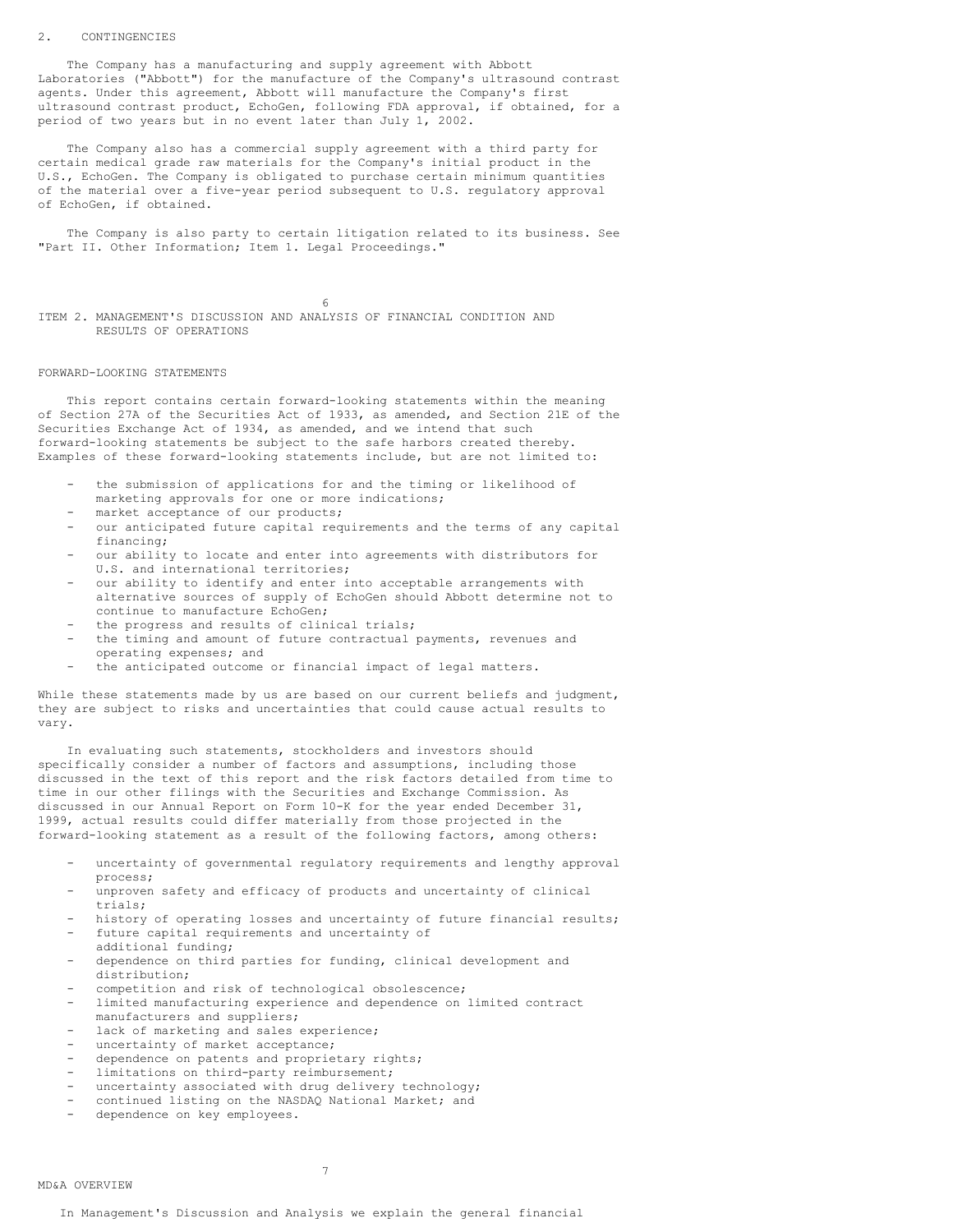#### 2. CONTINGENCIES

The Company has a manufacturing and supply agreement with Abbott Laboratories ("Abbott") for the manufacture of the Company's ultrasound contrast agents. Under this agreement, Abbott will manufacture the Company's first ultrasound contrast product, EchoGen, following FDA approval, if obtained, for a period of two years but in no event later than July 1, 2002.

The Company also has a commercial supply agreement with a third party for certain medical grade raw materials for the Company's initial product in the U.S., EchoGen. The Company is obligated to purchase certain minimum quantities of the material over a five-year period subsequent to U.S. regulatory approval of EchoGen, if obtained.

The Company is also party to certain litigation related to its business. See "Part II. Other Information; Item 1. Legal Proceedings."

6

ITEM 2. MANAGEMENT'S DISCUSSION AND ANALYSIS OF FINANCIAL CONDITION AND RESULTS OF OPERATIONS

### FORWARD-LOOKING STATEMENTS

This report contains certain forward-looking statements within the meaning of Section 27A of the Securities Act of 1933, as amended, and Section 21E of the Securities Exchange Act of 1934, as amended, and we intend that such forward-looking statements be subject to the safe harbors created thereby. Examples of these forward-looking statements include, but are not limited to:

- the submission of applications for and the timing or likelihood of marketing approvals for one or more indications;
- market acceptance of our products;
- our anticipated future capital requirements and the terms of any capital financing;
- our ability to locate and enter into agreements with distributors for U.S. and international territories;
- our ability to identify and enter into acceptable arrangements with alternative sources of supply of EchoGen should Abbott determine not to continue to manufacture EchoGen;
- the progress and results of clinical trials;
- the timing and amount of future contractual payments, revenues and operating expenses; and
- the anticipated outcome or financial impact of legal matters.

While these statements made by us are based on our current beliefs and judgment, they are subject to risks and uncertainties that could cause actual results to vary.

In evaluating such statements, stockholders and investors should specifically consider a number of factors and assumptions, including those discussed in the text of this report and the risk factors detailed from time to time in our other filings with the Securities and Exchange Commission. As discussed in our Annual Report on Form 10-K for the year ended December 31, 1999, actual results could differ materially from those projected in the forward-looking statement as a result of the following factors, among others:

- uncertainty of governmental regulatory requirements and lengthy approval process;
- unproven safety and efficacy of products and uncertainty of clinical trials;
- history of operating losses and uncertainty of future financial results; future capital requirements and uncertainty of
- additional funding;
- dependence on third parties for funding, clinical development and distribution;
- competition and risk of technological obsolescence;
- limited manufacturing experience and dependence on limited contract manufacturers and suppliers;
- lack of marketing and sales experience;
- uncertainty of market acceptance;
- dependence on patents and proprietary rights;
- limitations on third-party reimbursement;
- uncertainty associated with drug delivery technology;
- continued listing on the NASDAQ National Market; and
- dependence on key employees.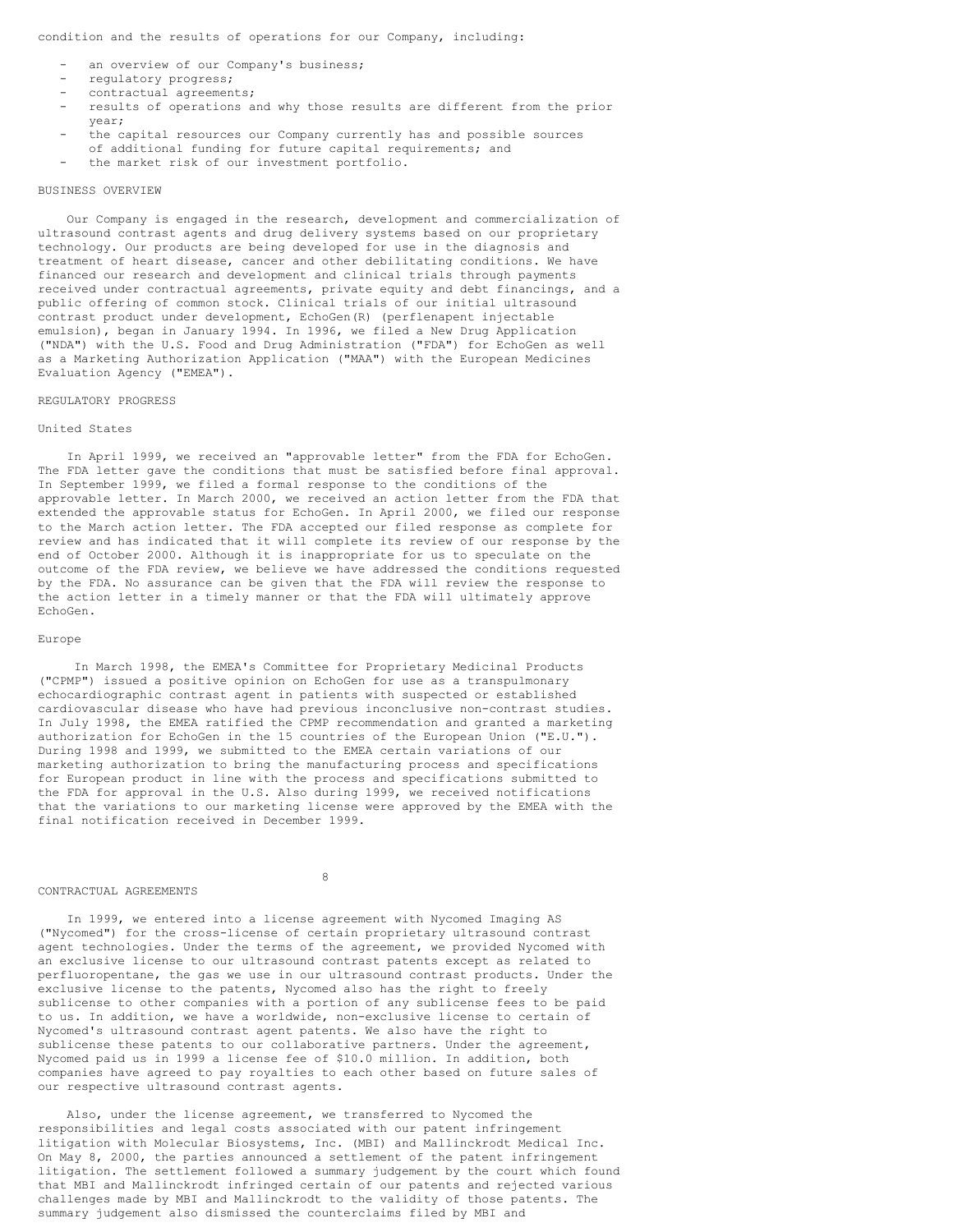condition and the results of operations for our Company, including:

- an overview of our Company's business;
- regulatory progress;
- contractual agreements;
- results of operations and why those results are different from the prior year;
- the capital resources our Company currently has and possible sources of additional funding for future capital requirements; and
- the market risk of our investment portfolio.

# BUSINESS OVERVIEW

Our Company is engaged in the research, development and commercialization of ultrasound contrast agents and drug delivery systems based on our proprietary technology. Our products are being developed for use in the diagnosis and treatment of heart disease, cancer and other debilitating conditions. We have financed our research and development and clinical trials through payments received under contractual agreements, private equity and debt financings, and a public offering of common stock. Clinical trials of our initial ultrasound contrast product under development, EchoGen(R) (perflenapent injectable emulsion), began in January 1994. In 1996, we filed a New Drug Application ("NDA") with the U.S. Food and Drug Administration ("FDA") for EchoGen as well as a Marketing Authorization Application ("MAA") with the European Medicines Evaluation Agency ("EMEA").

#### REGULATORY PROGRESS

#### United States

In April 1999, we received an "approvable letter" from the FDA for EchoGen. The FDA letter gave the conditions that must be satisfied before final approval. In September 1999, we filed a formal response to the conditions of the approvable letter. In March 2000, we received an action letter from the FDA that extended the approvable status for EchoGen. In April 2000, we filed our response to the March action letter. The FDA accepted our filed response as complete for review and has indicated that it will complete its review of our response by the end of October 2000. Although it is inappropriate for us to speculate on the outcome of the FDA review, we believe we have addressed the conditions requested by the FDA. No assurance can be given that the FDA will review the response to the action letter in a timely manner or that the FDA will ultimately approve EchoGen.

# Europe

In March 1998, the EMEA's Committee for Proprietary Medicinal Products ("CPMP") issued a positive opinion on EchoGen for use as a transpulmonary echocardiographic contrast agent in patients with suspected or established cardiovascular disease who have had previous inconclusive non-contrast studies. In July 1998, the EMEA ratified the CPMP recommendation and granted a marketing authorization for EchoGen in the 15 countries of the European Union ("E.U."). During 1998 and 1999, we submitted to the EMEA certain variations of our marketing authorization to bring the manufacturing process and specifications for European product in line with the process and specifications submitted to the FDA for approval in the U.S. Also during 1999, we received notifications that the variations to our marketing license were approved by the EMEA with the final notification received in December 1999.

#### CONTRACTUAL AGREEMENTS

8

In 1999, we entered into a license agreement with Nycomed Imaging AS ("Nycomed") for the cross-license of certain proprietary ultrasound contrast agent technologies. Under the terms of the agreement, we provided Nycomed with an exclusive license to our ultrasound contrast patents except as related to perfluoropentane, the gas we use in our ultrasound contrast products. Under the exclusive license to the patents, Nycomed also has the right to freely sublicense to other companies with a portion of any sublicense fees to be paid to us. In addition, we have a worldwide, non-exclusive license to certain of Nycomed's ultrasound contrast agent patents. We also have the right to sublicense these patents to our collaborative partners. Under the agreement, Nycomed paid us in 1999 a license fee of \$10.0 million. In addition, both companies have agreed to pay royalties to each other based on future sales of our respective ultrasound contrast agents.

Also, under the license agreement, we transferred to Nycomed the responsibilities and legal costs associated with our patent infringement litigation with Molecular Biosystems, Inc. (MBI) and Mallinckrodt Medical Inc. On May 8, 2000, the parties announced a settlement of the patent infringement litigation. The settlement followed a summary judgement by the court which found that MBI and Mallinckrodt infringed certain of our patents and rejected various challenges made by MBI and Mallinckrodt to the validity of those patents. The summary judgement also dismissed the counterclaims filed by MBI and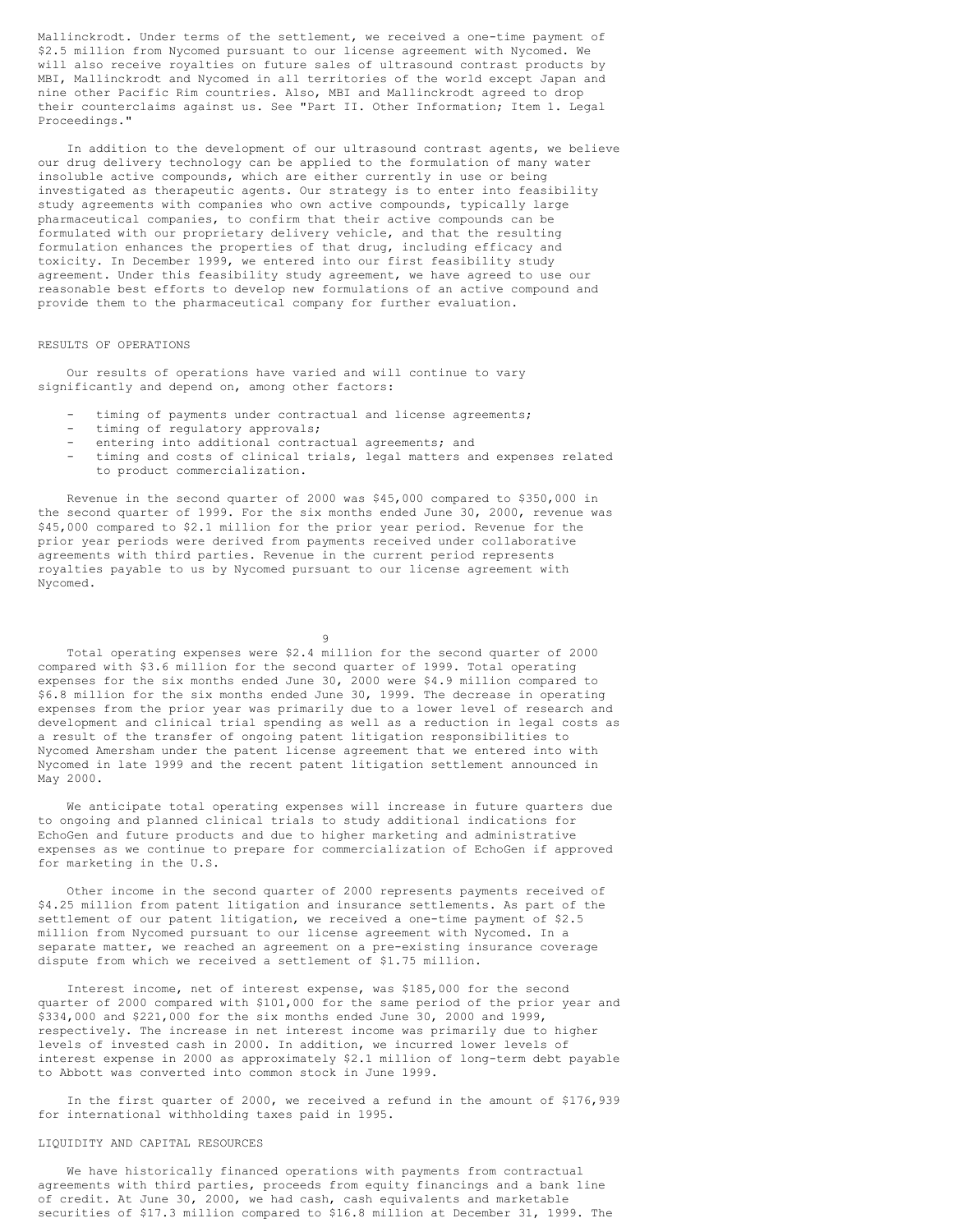Mallinckrodt. Under terms of the settlement, we received a one-time payment of \$2.5 million from Nycomed pursuant to our license agreement with Nycomed. We will also receive royalties on future sales of ultrasound contrast products by MBI, Mallinckrodt and Nycomed in all territories of the world except Japan and nine other Pacific Rim countries. Also, MBI and Mallinckrodt agreed to drop their counterclaims against us. See "Part II. Other Information; Item 1. Legal Proceedings."

In addition to the development of our ultrasound contrast agents, we believe our drug delivery technology can be applied to the formulation of many water insoluble active compounds, which are either currently in use or being investigated as therapeutic agents. Our strategy is to enter into feasibility study agreements with companies who own active compounds, typically large pharmaceutical companies, to confirm that their active compounds can be formulated with our proprietary delivery vehicle, and that the resulting formulation enhances the properties of that drug, including efficacy and toxicity. In December 1999, we entered into our first feasibility study agreement. Under this feasibility study agreement, we have agreed to use our reasonable best efforts to develop new formulations of an active compound and provide them to the pharmaceutical company for further evaluation.

# RESULTS OF OPERATIONS

Our results of operations have varied and will continue to vary significantly and depend on, among other factors:

- timing of payments under contractual and license agreements;
- timing of regulatory approvals;
- entering into additional contractual agreements; and
- timing and costs of clinical trials, legal matters and expenses related to product commercialization.

Revenue in the second quarter of 2000 was \$45,000 compared to \$350,000 in the second quarter of 1999. For the six months ended June 30, 2000, revenue was \$45,000 compared to \$2.1 million for the prior year period. Revenue for the prior year periods were derived from payments received under collaborative agreements with third parties. Revenue in the current period represents royalties payable to us by Nycomed pursuant to our license agreement with Nycomed.

9

Total operating expenses were \$2.4 million for the second quarter of 2000 compared with \$3.6 million for the second quarter of 1999. Total operating expenses for the six months ended June 30, 2000 were \$4.9 million compared to \$6.8 million for the six months ended June 30, 1999. The decrease in operating expenses from the prior year was primarily due to a lower level of research and development and clinical trial spending as well as a reduction in legal costs as a result of the transfer of ongoing patent litigation responsibilities to Nycomed Amersham under the patent license agreement that we entered into with Nycomed in late 1999 and the recent patent litigation settlement announced in May 2000.

We anticipate total operating expenses will increase in future quarters due to ongoing and planned clinical trials to study additional indications for EchoGen and future products and due to higher marketing and administrative expenses as we continue to prepare for commercialization of EchoGen if approved for marketing in the U.S.

Other income in the second quarter of 2000 represents payments received of \$4.25 million from patent litigation and insurance settlements. As part of the settlement of our patent litigation, we received a one-time payment of \$2.5 million from Nycomed pursuant to our license agreement with Nycomed. In a separate matter, we reached an agreement on a pre-existing insurance coverage dispute from which we received a settlement of \$1.75 million.

Interest income, net of interest expense, was \$185,000 for the second quarter of 2000 compared with \$101,000 for the same period of the prior year and \$334,000 and \$221,000 for the six months ended June 30, 2000 and 1999, respectively. The increase in net interest income was primarily due to higher levels of invested cash in 2000. In addition, we incurred lower levels of interest expense in 2000 as approximately \$2.1 million of long-term debt payable to Abbott was converted into common stock in June 1999.

In the first quarter of 2000, we received a refund in the amount of \$176,939 for international withholding taxes paid in 1995.

# LIQUIDITY AND CAPITAL RESOURCES

We have historically financed operations with payments from contractual agreements with third parties, proceeds from equity financings and a bank line of credit. At June 30, 2000, we had cash, cash equivalents and marketable securities of \$17.3 million compared to \$16.8 million at December 31, 1999. The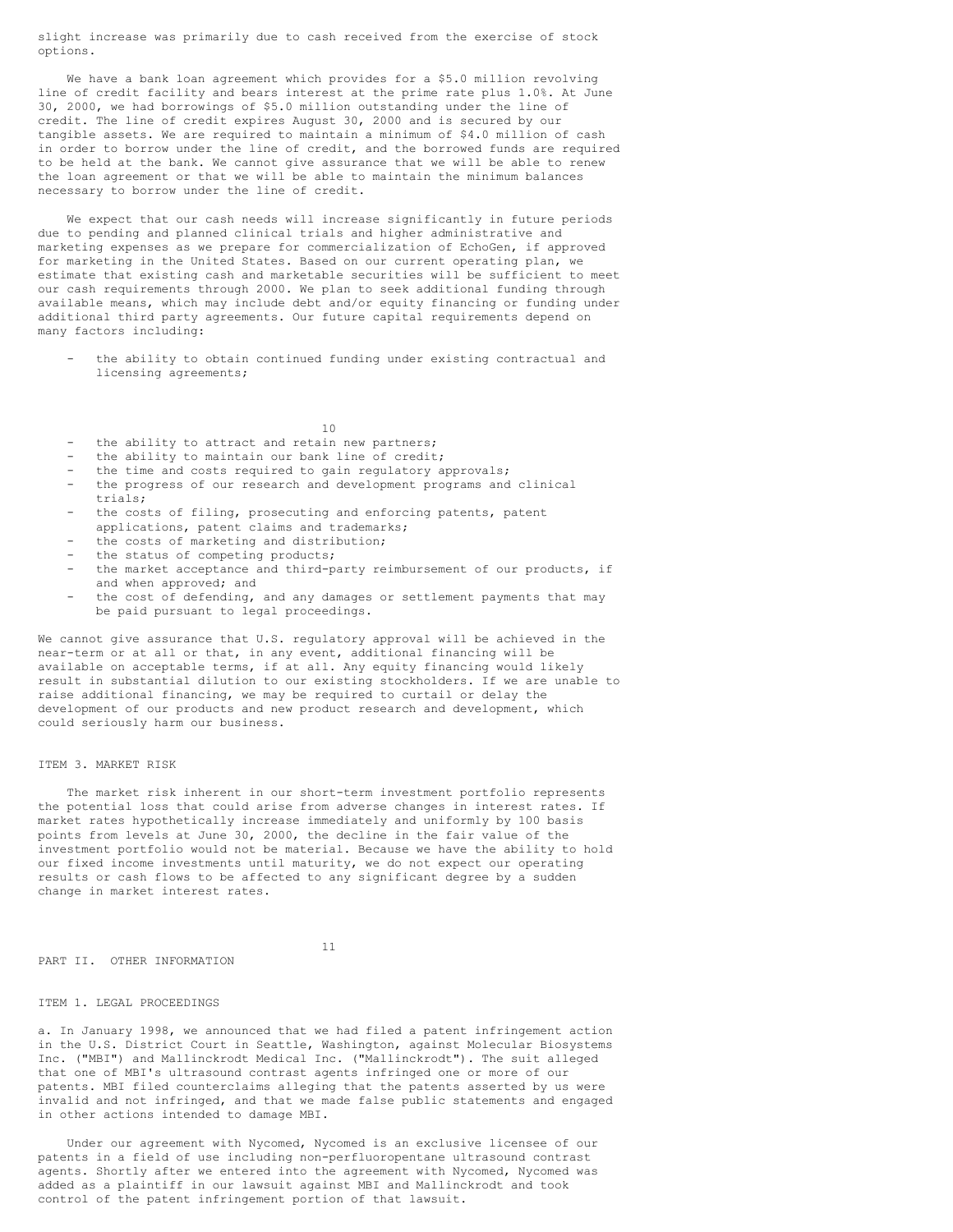slight increase was primarily due to cash received from the exercise of stock options.

We have a bank loan agreement which provides for a \$5.0 million revolving line of credit facility and bears interest at the prime rate plus 1.0%. At June 30, 2000, we had borrowings of \$5.0 million outstanding under the line of credit. The line of credit expires August 30, 2000 and is secured by our tangible assets. We are required to maintain a minimum of \$4.0 million of cash in order to borrow under the line of credit, and the borrowed funds are required to be held at the bank. We cannot give assurance that we will be able to renew the loan agreement or that we will be able to maintain the minimum balances necessary to borrow under the line of credit.

We expect that our cash needs will increase significantly in future periods due to pending and planned clinical trials and higher administrative and marketing expenses as we prepare for commercialization of EchoGen, if approved for marketing in the United States. Based on our current operating plan, we estimate that existing cash and marketable securities will be sufficient to meet our cash requirements through 2000. We plan to seek additional funding through available means, which may include debt and/or equity financing or funding under additional third party agreements. Our future capital requirements depend on many factors including:

the ability to obtain continued funding under existing contractual and licensing agreements;

10

- the ability to attract and retain new partners;
- the ability to maintain our bank line of credit;
- the time and costs required to gain regulatory approvals;
- the progress of our research and development programs and clinical trials;
- the costs of filing, prosecuting and enforcing patents, patent applications, patent claims and trademarks;
- the costs of marketing and distribution;
- the status of competing products;
- the market acceptance and third-party reimbursement of our products, if and when approved; and
- the cost of defending, and any damages or settlement payments that may be paid pursuant to legal proceedings.

We cannot give assurance that U.S. regulatory approval will be achieved in the near-term or at all or that, in any event, additional financing will be available on acceptable terms, if at all. Any equity financing would likely result in substantial dilution to our existing stockholders. If we are unable to raise additional financing, we may be required to curtail or delay the development of our products and new product research and development, which could seriously harm our business.

# ITEM 3. MARKET RISK

The market risk inherent in our short-term investment portfolio represents the potential loss that could arise from adverse changes in interest rates. If market rates hypothetically increase immediately and uniformly by 100 basis points from levels at June 30, 2000, the decline in the fair value of the investment portfolio would not be material. Because we have the ability to hold our fixed income investments until maturity, we do not expect our operating results or cash flows to be affected to any significant degree by a sudden change in market interest rates.

11

PART II. OTHER INFORMATION

ITEM 1. LEGAL PROCEEDINGS

a. In January 1998, we announced that we had filed a patent infringement action in the U.S. District Court in Seattle, Washington, against Molecular Biosystems Inc. ("MBI") and Mallinckrodt Medical Inc. ("Mallinckrodt"). The suit alleged that one of MBI's ultrasound contrast agents infringed one or more of our patents. MBI filed counterclaims alleging that the patents asserted by us were invalid and not infringed, and that we made false public statements and engaged in other actions intended to damage MBI.

Under our agreement with Nycomed, Nycomed is an exclusive licensee of our patents in a field of use including non-perfluoropentane ultrasound contrast agents. Shortly after we entered into the agreement with Nycomed, Nycomed was added as a plaintiff in our lawsuit against MBI and Mallinckrodt and took control of the patent infringement portion of that lawsuit.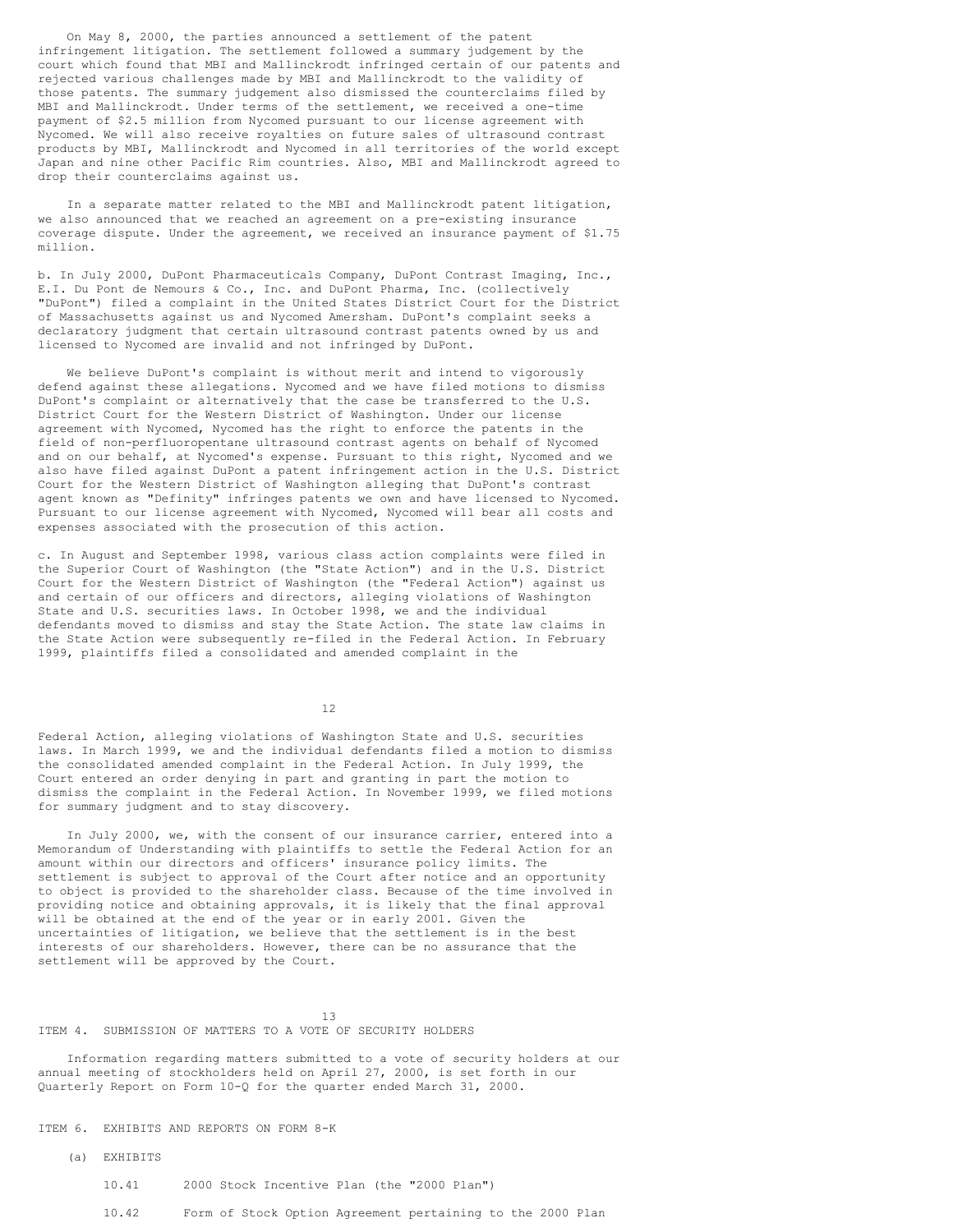On May 8, 2000, the parties announced a settlement of the patent infringement litigation. The settlement followed a summary judgement by the court which found that MBI and Mallinckrodt infringed certain of our patents and rejected various challenges made by MBI and Mallinckrodt to the validity of those patents. The summary judgement also dismissed the counterclaims filed by MBI and Mallinckrodt. Under terms of the settlement, we received a one-time payment of \$2.5 million from Nycomed pursuant to our license agreement with Nycomed. We will also receive royalties on future sales of ultrasound contrast products by MBI, Mallinckrodt and Nycomed in all territories of the world except Japan and nine other Pacific Rim countries. Also, MBI and Mallinckrodt agreed to drop their counterclaims against us.

In a separate matter related to the MBI and Mallinckrodt patent litigation, we also announced that we reached an agreement on a pre-existing insurance coverage dispute. Under the agreement, we received an insurance payment of \$1.75 million.

b. In July 2000, DuPont Pharmaceuticals Company, DuPont Contrast Imaging, Inc., E.I. Du Pont de Nemours & Co., Inc. and DuPont Pharma, Inc. (collectively "DuPont") filed a complaint in the United States District Court for the District of Massachusetts against us and Nycomed Amersham. DuPont's complaint seeks a declaratory judgment that certain ultrasound contrast patents owned by us and licensed to Nycomed are invalid and not infringed by DuPont.

We believe DuPont's complaint is without merit and intend to vigorously defend against these allegations. Nycomed and we have filed motions to dismiss DuPont's complaint or alternatively that the case be transferred to the U.S. District Court for the Western District of Washington. Under our license agreement with Nycomed, Nycomed has the right to enforce the patents in the field of non-perfluoropentane ultrasound contrast agents on behalf of Nycomed and on our behalf, at Nycomed's expense. Pursuant to this right, Nycomed and we also have filed against DuPont a patent infringement action in the U.S. District Court for the Western District of Washington alleging that DuPont's contrast agent known as "Definity" infringes patents we own and have licensed to Nycomed. Pursuant to our license agreement with Nycomed, Nycomed will bear all costs and expenses associated with the prosecution of this action.

c. In August and September 1998, various class action complaints were filed in the Superior Court of Washington (the "State Action") and in the U.S. District Court for the Western District of Washington (the "Federal Action") against us and certain of our officers and directors, alleging violations of Washington State and U.S. securities laws. In October 1998, we and the individual defendants moved to dismiss and stay the State Action. The state law claims in the State Action were subsequently re-filed in the Federal Action. In February 1999, plaintiffs filed a consolidated and amended complaint in the

12

Federal Action, alleging violations of Washington State and U.S. securities laws. In March 1999, we and the individual defendants filed a motion to dismiss the consolidated amended complaint in the Federal Action. In July 1999, the Court entered an order denying in part and granting in part the motion to dismiss the complaint in the Federal Action. In November 1999, we filed motions for summary judgment and to stay discovery.

In July 2000, we, with the consent of our insurance carrier, entered into a Memorandum of Understanding with plaintiffs to settle the Federal Action for an amount within our directors and officers' insurance policy limits. The settlement is subject to approval of the Court after notice and an opportunity to object is provided to the shareholder class. Because of the time involved in providing notice and obtaining approvals, it is likely that the final approval will be obtained at the end of the year or in early 2001. Given the uncertainties of litigation, we believe that the settlement is in the best interests of our shareholders. However, there can be no assurance that the settlement will be approved by the Court.

13 ITEM 4. SUBMISSION OF MATTERS TO A VOTE OF SECURITY HOLDERS

Information regarding matters submitted to a vote of security holders at our annual meeting of stockholders held on April 27, 2000, is set forth in our Quarterly Report on Form 10-Q for the quarter ended March 31, 2000.

ITEM 6. EXHIBITS AND REPORTS ON FORM 8-K

- (a) EXHIBITS
	- 10.41 2000 Stock Incentive Plan (the "2000 Plan")
	- 10.42 Form of Stock Option Agreement pertaining to the 2000 Plan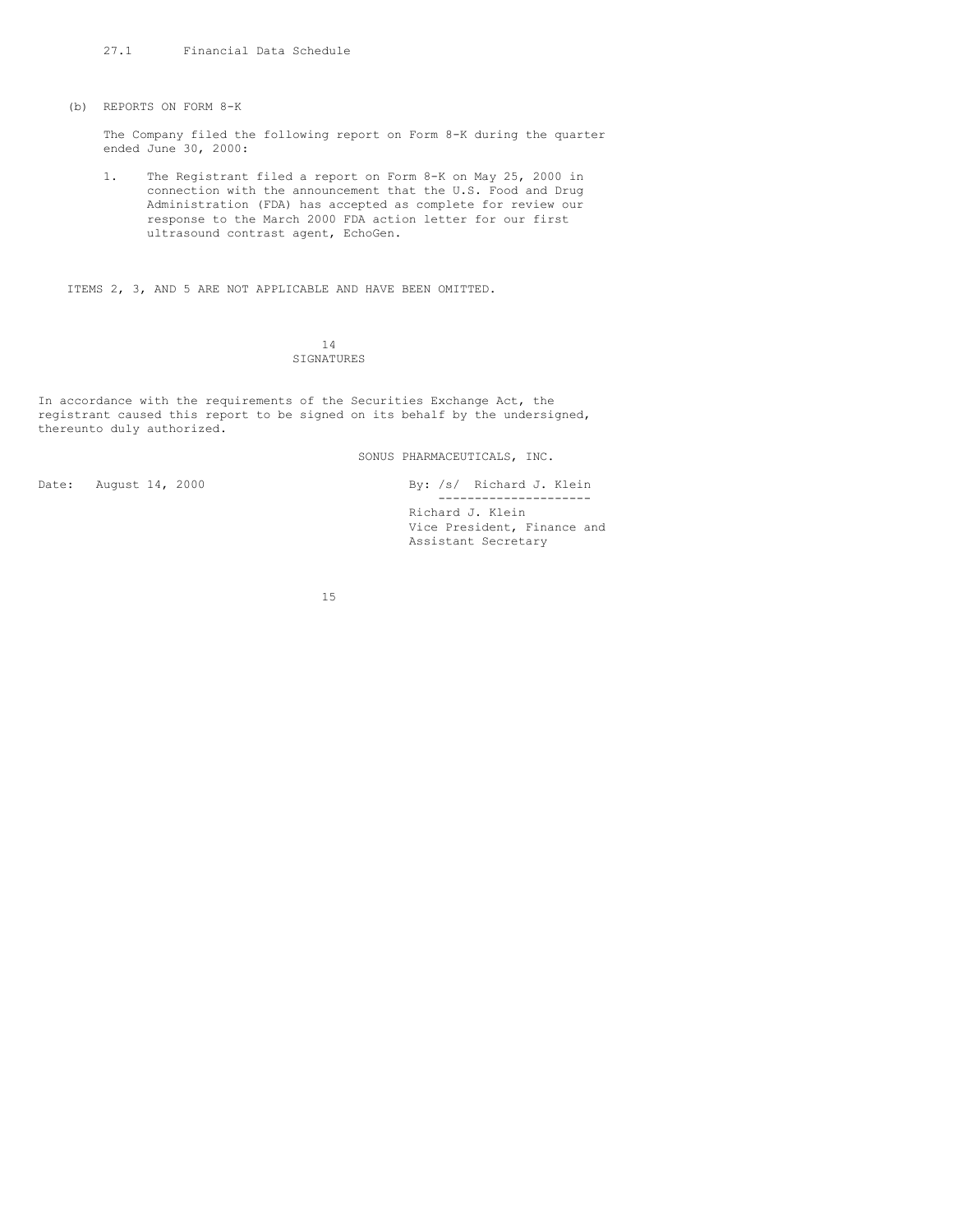(b) REPORTS ON FORM 8-K

The Company filed the following report on Form 8-K during the quarter ended June 30, 2000:

1. The Registrant filed a report on Form 8-K on May 25, 2000 in connection with the announcement that the U.S. Food and Drug Administration (FDA) has accepted as complete for review our response to the March 2000 FDA action letter for our first ultrasound contrast agent, EchoGen.

ITEMS 2, 3, AND 5 ARE NOT APPLICABLE AND HAVE BEEN OMITTED.

14 SIGNATURES

In accordance with the requirements of the Securities Exchange Act, the registrant caused this report to be signed on its behalf by the undersigned, thereunto duly authorized.

SONUS PHARMACEUTICALS, INC.

Date: August 14, 2000 By: /s/ Richard J. Klein --------------------- Richard J. Klein Vice President, Finance and Assistant Secretary

15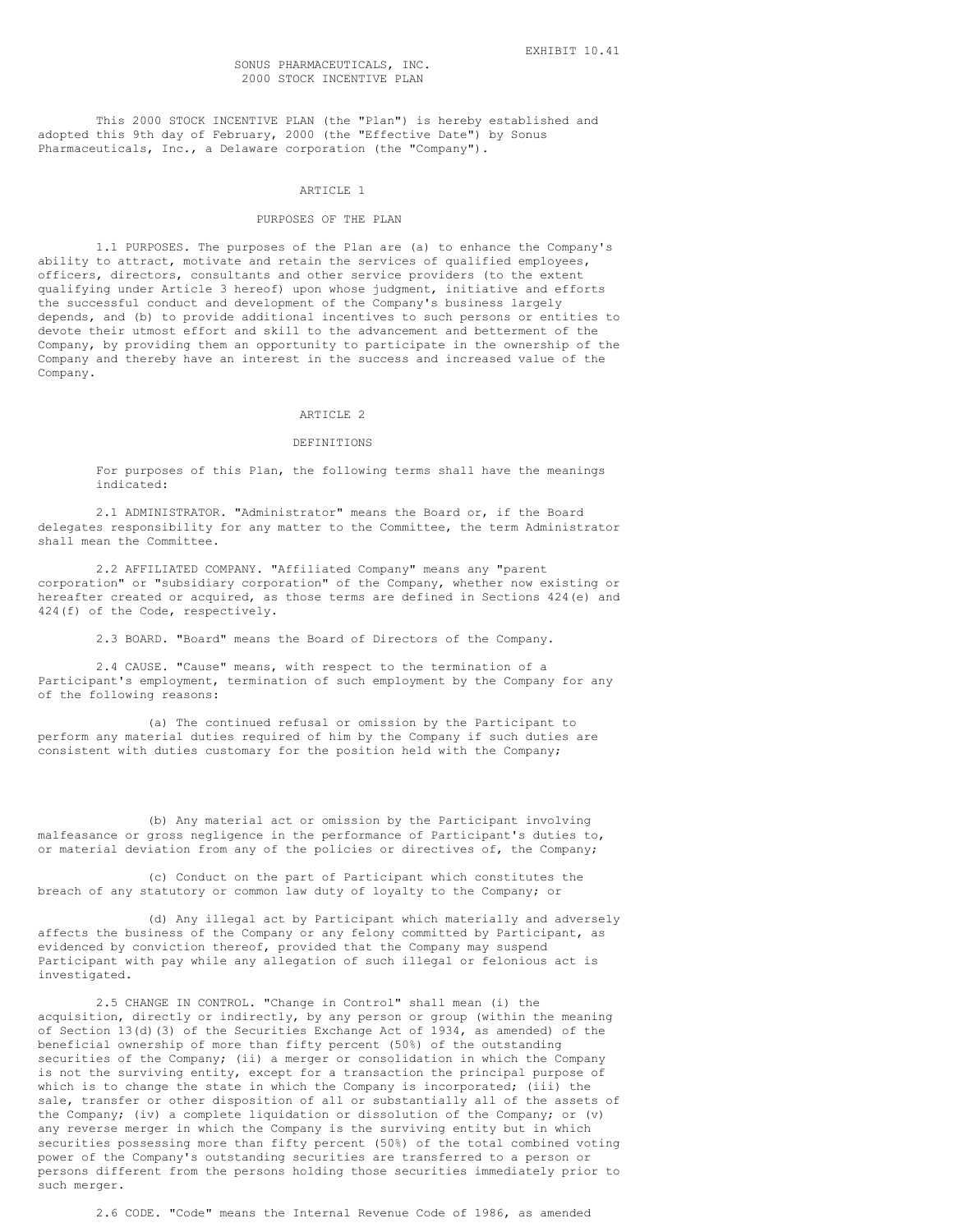This 2000 STOCK INCENTIVE PLAN (the "Plan") is hereby established and adopted this 9th day of February, 2000 (the "Effective Date") by Sonus Pharmaceuticals, Inc., a Delaware corporation (the "Company").

### ARTICLE 1

### PURPOSES OF THE PLAN

1.1 PURPOSES. The purposes of the Plan are (a) to enhance the Company's ability to attract, motivate and retain the services of qualified employees, officers, directors, consultants and other service providers (to the extent qualifying under Article 3 hereof) upon whose judgment, initiative and efforts the successful conduct and development of the Company's business largely depends, and (b) to provide additional incentives to such persons or entities to devote their utmost effort and skill to the advancement and betterment of the Company, by providing them an opportunity to participate in the ownership of the Company and thereby have an interest in the success and increased value of the Company.

# ARTICLE 2

### DEFINITIONS

For purposes of this Plan, the following terms shall have the meanings indicated:

2.1 ADMINISTRATOR. "Administrator" means the Board or, if the Board delegates responsibility for any matter to the Committee, the term Administrator shall mean the Committee.

2.2 AFFILIATED COMPANY. "Affiliated Company" means any "parent corporation" or "subsidiary corporation" of the Company, whether now existing or hereafter created or acquired, as those terms are defined in Sections 424(e) and 424(f) of the Code, respectively.

2.3 BOARD. "Board" means the Board of Directors of the Company.

2.4 CAUSE. "Cause" means, with respect to the termination of a Participant's employment, termination of such employment by the Company for any of the following reasons:

(a) The continued refusal or omission by the Participant to perform any material duties required of him by the Company if such duties are consistent with duties customary for the position held with the Company;

(b) Any material act or omission by the Participant involving malfeasance or gross negligence in the performance of Participant's duties to, or material deviation from any of the policies or directives of, the Company;

(c) Conduct on the part of Participant which constitutes the breach of any statutory or common law duty of loyalty to the Company; or

(d) Any illegal act by Participant which materially and adversely affects the business of the Company or any felony committed by Participant, as evidenced by conviction thereof, provided that the Company may suspend Participant with pay while any allegation of such illegal or felonious act is investigated.

2.5 CHANGE IN CONTROL. "Change in Control" shall mean (i) the acquisition, directly or indirectly, by any person or group (within the meaning of Section 13(d)(3) of the Securities Exchange Act of 1934, as amended) of the beneficial ownership of more than fifty percent (50%) of the outstanding securities of the Company; (ii) a merger or consolidation in which the Company is not the surviving entity, except for a transaction the principal purpose of which is to change the state in which the Company is incorporated; (iii) the sale, transfer or other disposition of all or substantially all of the assets of the Company; (iv) a complete liquidation or dissolution of the Company; or (v) any reverse merger in which the Company is the surviving entity but in which securities possessing more than fifty percent (50%) of the total combined voting power of the Company's outstanding securities are transferred to a person or persons different from the persons holding those securities immediately prior to such merger.

2.6 CODE. "Code" means the Internal Revenue Code of 1986, as amended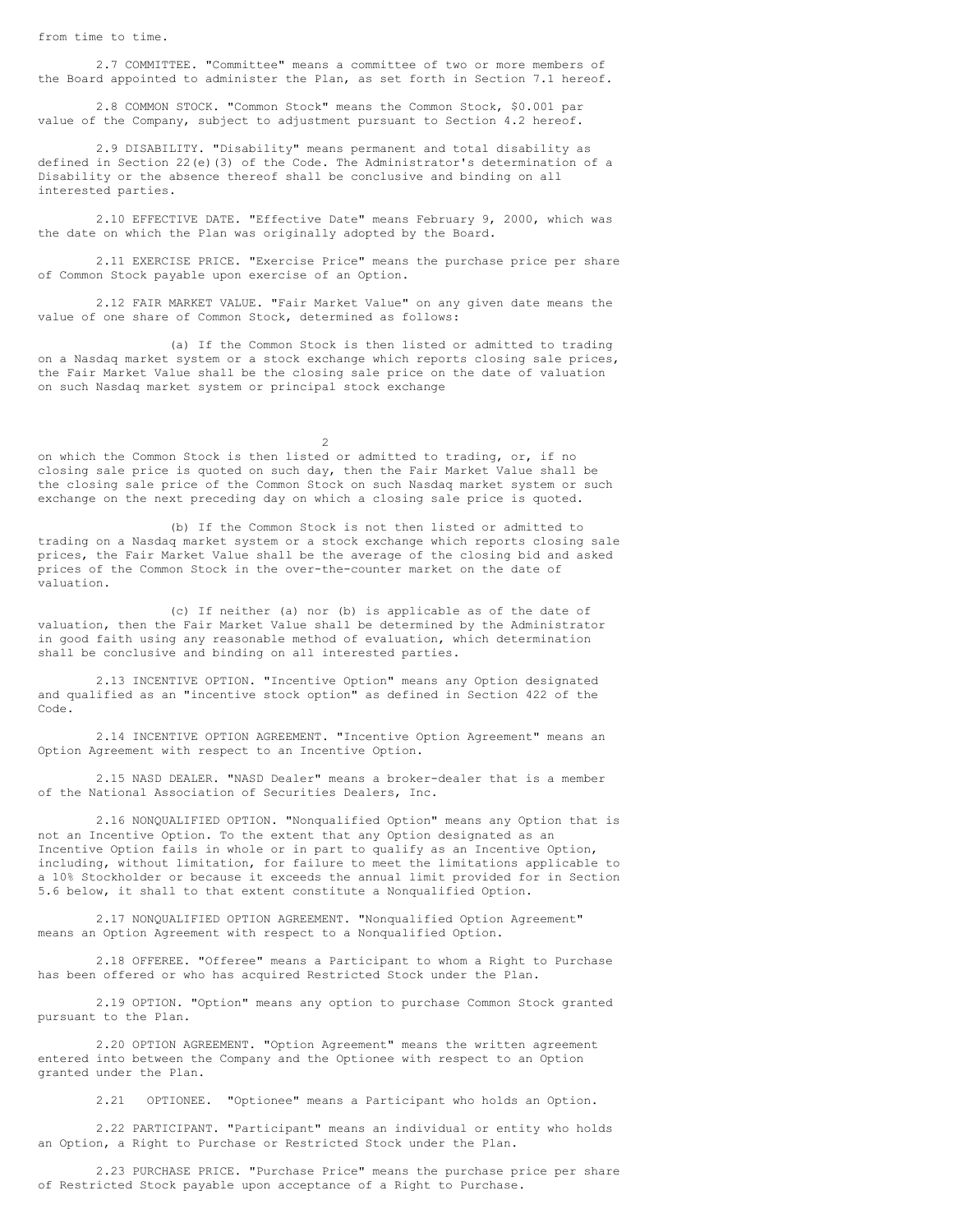from time to time.

2.7 COMMITTEE. "Committee" means a committee of two or more members of the Board appointed to administer the Plan, as set forth in Section 7.1 hereof.

2.8 COMMON STOCK. "Common Stock" means the Common Stock, \$0.001 par value of the Company, subject to adjustment pursuant to Section 4.2 hereof.

2.9 DISABILITY. "Disability" means permanent and total disability as defined in Section 22(e)(3) of the Code. The Administrator's determination of a Disability or the absence thereof shall be conclusive and binding on all interested parties.

2.10 EFFECTIVE DATE. "Effective Date" means February 9, 2000, which was the date on which the Plan was originally adopted by the Board.

2.11 EXERCISE PRICE. "Exercise Price" means the purchase price per share of Common Stock payable upon exercise of an Option.

2.12 FAIR MARKET VALUE. "Fair Market Value" on any given date means the value of one share of Common Stock, determined as follows:

(a) If the Common Stock is then listed or admitted to trading on a Nasdaq market system or a stock exchange which reports closing sale prices, the Fair Market Value shall be the closing sale price on the date of valuation on such Nasdaq market system or principal stock exchange

 $\overline{2}$ 

on which the Common Stock is then listed or admitted to trading, or, if no closing sale price is quoted on such day, then the Fair Market Value shall be the closing sale price of the Common Stock on such Nasdaq market system or such exchange on the next preceding day on which a closing sale price is quoted.

(b) If the Common Stock is not then listed or admitted to trading on a Nasdaq market system or a stock exchange which reports closing sale prices, the Fair Market Value shall be the average of the closing bid and asked prices of the Common Stock in the over-the-counter market on the date of valuation.

(c) If neither (a) nor (b) is applicable as of the date of valuation, then the Fair Market Value shall be determined by the Administrator in good faith using any reasonable method of evaluation, which determination shall be conclusive and binding on all interested parties.

2.13 INCENTIVE OPTION. "Incentive Option" means any Option designated and qualified as an "incentive stock option" as defined in Section 422 of the Code.

2.14 INCENTIVE OPTION AGREEMENT. "Incentive Option Agreement" means an Option Agreement with respect to an Incentive Option.

2.15 NASD DEALER. "NASD Dealer" means a broker-dealer that is a member of the National Association of Securities Dealers, Inc.

2.16 NONQUALIFIED OPTION. "Nonqualified Option" means any Option that is not an Incentive Option. To the extent that any Option designated as an Incentive Option fails in whole or in part to qualify as an Incentive Option, including, without limitation, for failure to meet the limitations applicable to a 10% Stockholder or because it exceeds the annual limit provided for in Section 5.6 below, it shall to that extent constitute a Nonqualified Option.

2.17 NONQUALIFIED OPTION AGREEMENT. "Nonqualified Option Agreement" means an Option Agreement with respect to a Nonqualified Option.

2.18 OFFEREE. "Offeree" means a Participant to whom a Right to Purchase has been offered or who has acquired Restricted Stock under the Plan.

2.19 OPTION. "Option" means any option to purchase Common Stock granted pursuant to the Plan.

2.20 OPTION AGREEMENT. "Option Agreement" means the written agreement entered into between the Company and the Optionee with respect to an Option granted under the Plan.

2.21 OPTIONEE. "Optionee" means a Participant who holds an Option.

2.22 PARTICIPANT. "Participant" means an individual or entity who holds an Option, a Right to Purchase or Restricted Stock under the Plan.

2.23 PURCHASE PRICE. "Purchase Price" means the purchase price per share of Restricted Stock payable upon acceptance of a Right to Purchase.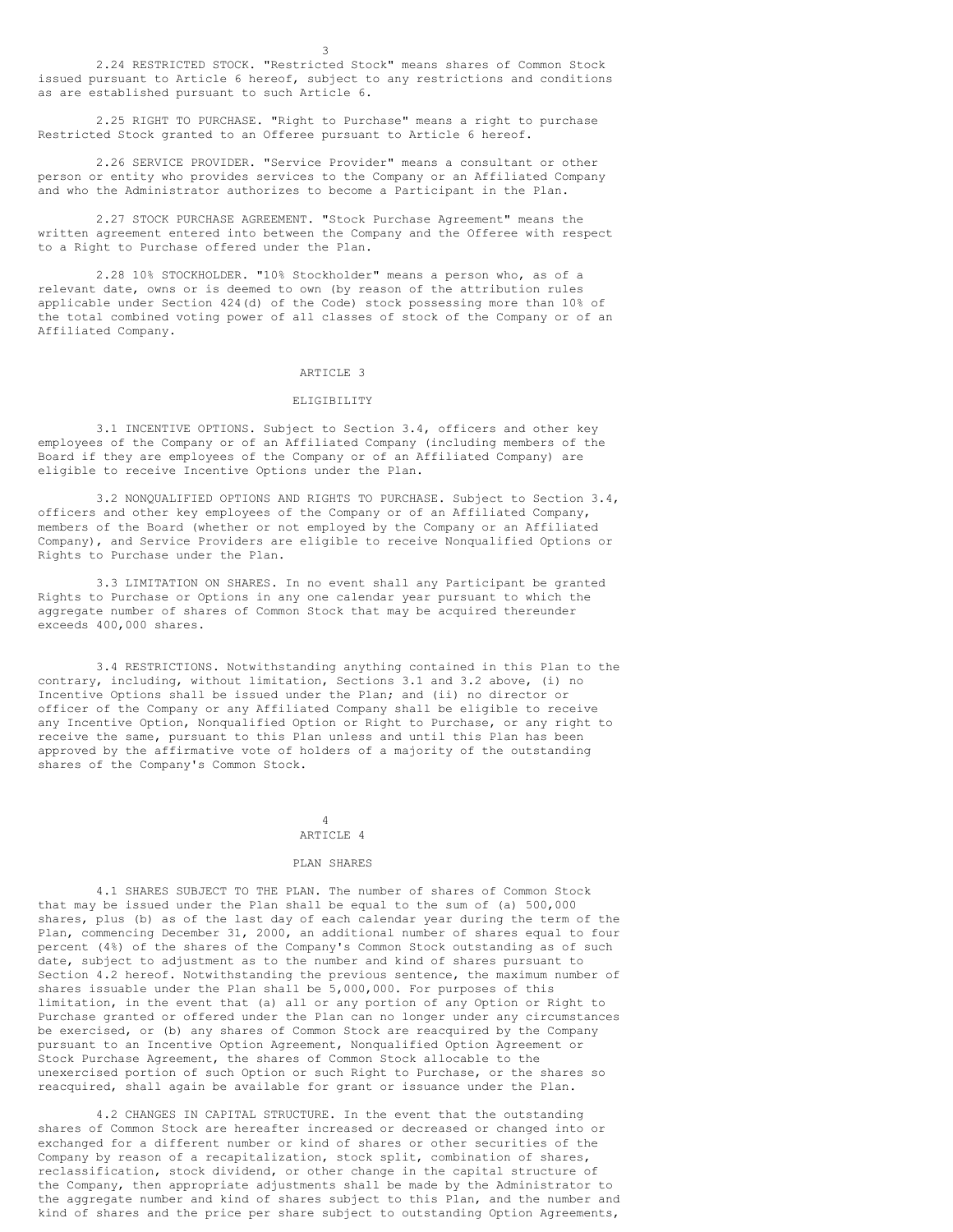2.24 RESTRICTED STOCK. "Restricted Stock" means shares of Common Stock issued pursuant to Article 6 hereof, subject to any restrictions and conditions as are established pursuant to such Article 6.

3

2.25 RIGHT TO PURCHASE. "Right to Purchase" means a right to purchase Restricted Stock granted to an Offeree pursuant to Article 6 hereof.

2.26 SERVICE PROVIDER. "Service Provider" means a consultant or other person or entity who provides services to the Company or an Affiliated Company and who the Administrator authorizes to become a Participant in the Plan.

2.27 STOCK PURCHASE AGREEMENT. "Stock Purchase Agreement" means the written agreement entered into between the Company and the Offeree with respect to a Right to Purchase offered under the Plan.

2.28 10% STOCKHOLDER. "10% Stockholder" means a person who, as of a relevant date, owns or is deemed to own (by reason of the attribution rules applicable under Section 424(d) of the Code) stock possessing more than 10% of the total combined voting power of all classes of stock of the Company or of an Affiliated Company.

#### ARTICLE 3

#### ELIGIBILITY

3.1 INCENTIVE OPTIONS. Subject to Section 3.4, officers and other key employees of the Company or of an Affiliated Company (including members of the Board if they are employees of the Company or of an Affiliated Company) are eligible to receive Incentive Options under the Plan.

3.2 NONQUALIFIED OPTIONS AND RIGHTS TO PURCHASE. Subject to Section 3.4, officers and other key employees of the Company or of an Affiliated Company, members of the Board (whether or not employed by the Company or an Affiliated Company), and Service Providers are eligible to receive Nonqualified Options or Rights to Purchase under the Plan.

3.3 LIMITATION ON SHARES. In no event shall any Participant be granted Rights to Purchase or Options in any one calendar year pursuant to which the aggregate number of shares of Common Stock that may be acquired thereunder exceeds 400,000 shares.

3.4 RESTRICTIONS. Notwithstanding anything contained in this Plan to the contrary, including, without limitation, Sections 3.1 and 3.2 above, (i) no Incentive Options shall be issued under the Plan; and (ii) no director or officer of the Company or any Affiliated Company shall be eligible to receive any Incentive Option, Nonqualified Option or Right to Purchase, or any right to receive the same, pursuant to this Plan unless and until this Plan has been approved by the affirmative vote of holders of a majority of the outstanding shares of the Company's Common Stock.

#### 4 ARTICLE 4

### PLAN SHARES

4.1 SHARES SUBJECT TO THE PLAN. The number of shares of Common Stock that may be issued under the Plan shall be equal to the sum of (a) 500,000 shares, plus (b) as of the last day of each calendar year during the term of the Plan, commencing December 31, 2000, an additional number of shares equal to four percent (4%) of the shares of the Company's Common Stock outstanding as of such date, subject to adjustment as to the number and kind of shares pursuant to Section 4.2 hereof. Notwithstanding the previous sentence, the maximum number of shares issuable under the Plan shall be 5,000,000. For purposes of this limitation, in the event that (a) all or any portion of any Option or Right to Purchase granted or offered under the Plan can no longer under any circumstances be exercised, or (b) any shares of Common Stock are reacquired by the Company pursuant to an Incentive Option Agreement, Nonqualified Option Agreement or Stock Purchase Agreement, the shares of Common Stock allocable to the unexercised portion of such Option or such Right to Purchase, or the shares so reacquired, shall again be available for grant or issuance under the Plan.

4.2 CHANGES IN CAPITAL STRUCTURE. In the event that the outstanding shares of Common Stock are hereafter increased or decreased or changed into or exchanged for a different number or kind of shares or other securities of the Company by reason of a recapitalization, stock split, combination of shares, reclassification, stock dividend, or other change in the capital structure of the Company, then appropriate adjustments shall be made by the Administrator to the aggregate number and kind of shares subject to this Plan, and the number and kind of shares and the price per share subject to outstanding Option Agreements,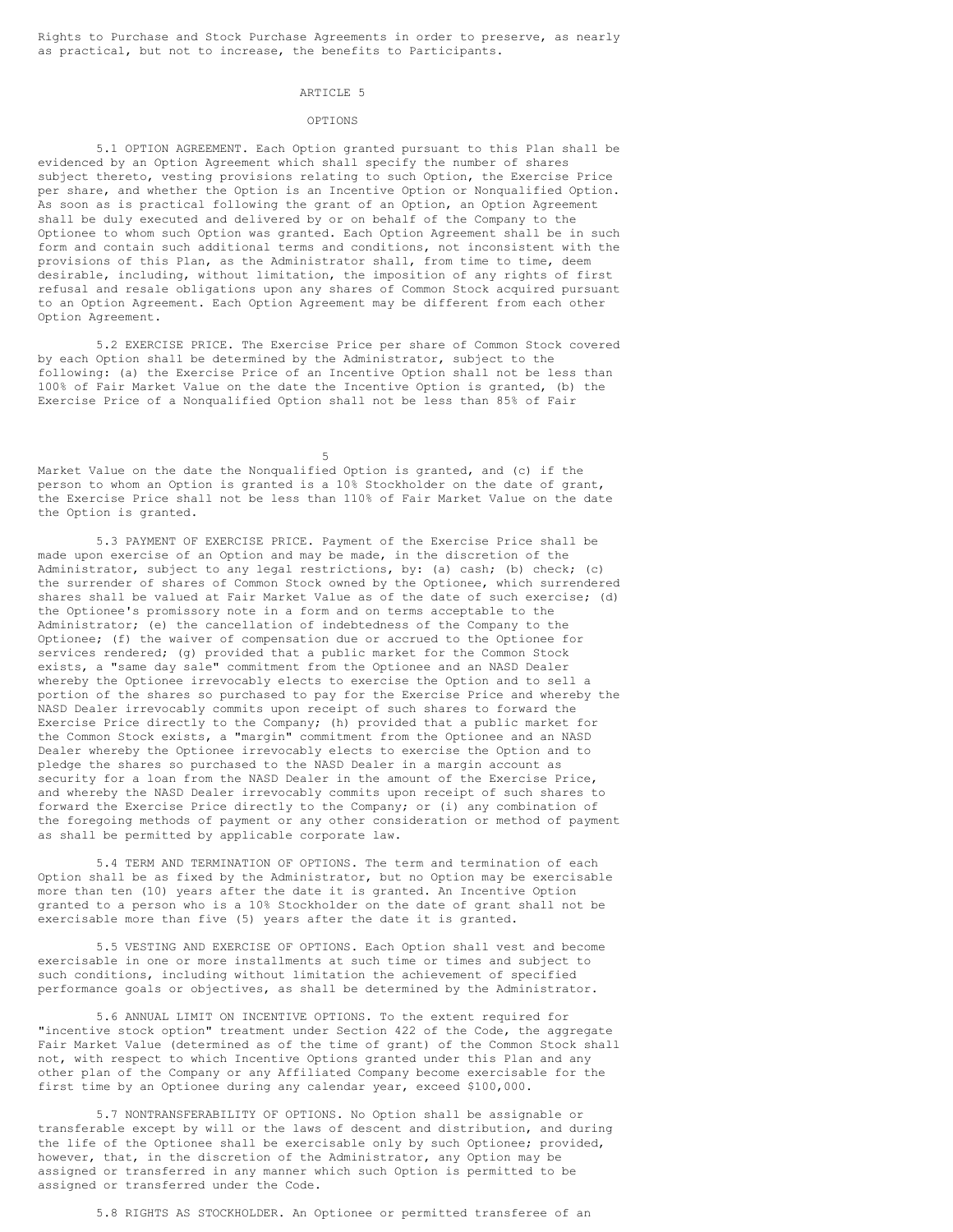Rights to Purchase and Stock Purchase Agreements in order to preserve, as nearly as practical, but not to increase, the benefits to Participants.

### ARTICLE<sub>5</sub>

#### OPTIONS

5.1 OPTION AGREEMENT. Each Option granted pursuant to this Plan shall be evidenced by an Option Agreement which shall specify the number of shares subject thereto, vesting provisions relating to such Option, the Exercise Price per share, and whether the Option is an Incentive Option or Nonqualified Option. As soon as is practical following the grant of an Option, an Option Agreement shall be duly executed and delivered by or on behalf of the Company to the Optionee to whom such Option was granted. Each Option Agreement shall be in such form and contain such additional terms and conditions, not inconsistent with the provisions of this Plan, as the Administrator shall, from time to time, deem desirable, including, without limitation, the imposition of any rights of first refusal and resale obligations upon any shares of Common Stock acquired pursuant to an Option Agreement. Each Option Agreement may be different from each other Option Agreement.

5.2 EXERCISE PRICE. The Exercise Price per share of Common Stock covered by each Option shall be determined by the Administrator, subject to the following: (a) the Exercise Price of an Incentive Option shall not be less than 100% of Fair Market Value on the date the Incentive Option is granted, (b) the Exercise Price of a Nonqualified Option shall not be less than 85% of Fair

5

Market Value on the date the Nonqualified Option is granted, and (c) if the person to whom an Option is granted is a 10% Stockholder on the date of grant, the Exercise Price shall not be less than 110% of Fair Market Value on the date the Option is granted.

5.3 PAYMENT OF EXERCISE PRICE. Payment of the Exercise Price shall be made upon exercise of an Option and may be made, in the discretion of the Administrator, subject to any legal restrictions, by: (a) cash; (b) check; (c) the surrender of shares of Common Stock owned by the Optionee, which surrendered shares shall be valued at Fair Market Value as of the date of such exercise; (d) the Optionee's promissory note in a form and on terms acceptable to the Administrator; (e) the cancellation of indebtedness of the Company to the Optionee; (f) the waiver of compensation due or accrued to the Optionee for services rendered; (g) provided that a public market for the Common Stock exists, a "same day sale" commitment from the Optionee and an NASD Dealer whereby the Optionee irrevocably elects to exercise the Option and to sell a portion of the shares so purchased to pay for the Exercise Price and whereby the NASD Dealer irrevocably commits upon receipt of such shares to forward the Exercise Price directly to the Company; (h) provided that a public market for the Common Stock exists, a "margin" commitment from the Optionee and an NASD Dealer whereby the Optionee irrevocably elects to exercise the Option and to pledge the shares so purchased to the NASD Dealer in a margin account as security for a loan from the NASD Dealer in the amount of the Exercise Price, and whereby the NASD Dealer irrevocably commits upon receipt of such shares to forward the Exercise Price directly to the Company; or (i) any combination of the foregoing methods of payment or any other consideration or method of payment as shall be permitted by applicable corporate law.

5.4 TERM AND TERMINATION OF OPTIONS. The term and termination of each Option shall be as fixed by the Administrator, but no Option may be exercisable more than ten (10) years after the date it is granted. An Incentive Option granted to a person who is a 10% Stockholder on the date of grant shall not be exercisable more than five (5) years after the date it is granted.

5.5 VESTING AND EXERCISE OF OPTIONS. Each Option shall vest and become exercisable in one or more installments at such time or times and subject to such conditions, including without limitation the achievement of specified performance goals or objectives, as shall be determined by the Administrator.

5.6 ANNUAL LIMIT ON INCENTIVE OPTIONS. To the extent required for "incentive stock option" treatment under Section 422 of the Code, the aggregate Fair Market Value (determined as of the time of grant) of the Common Stock shall not, with respect to which Incentive Options granted under this Plan and any other plan of the Company or any Affiliated Company become exercisable for the first time by an Optionee during any calendar year, exceed \$100,000.

5.7 NONTRANSFERABILITY OF OPTIONS. No Option shall be assignable or transferable except by will or the laws of descent and distribution, and during the life of the Optionee shall be exercisable only by such Optionee; provided, however, that, in the discretion of the Administrator, any Option may be assigned or transferred in any manner which such Option is permitted to be assigned or transferred under the Code.

5.8 RIGHTS AS STOCKHOLDER. An Optionee or permitted transferee of an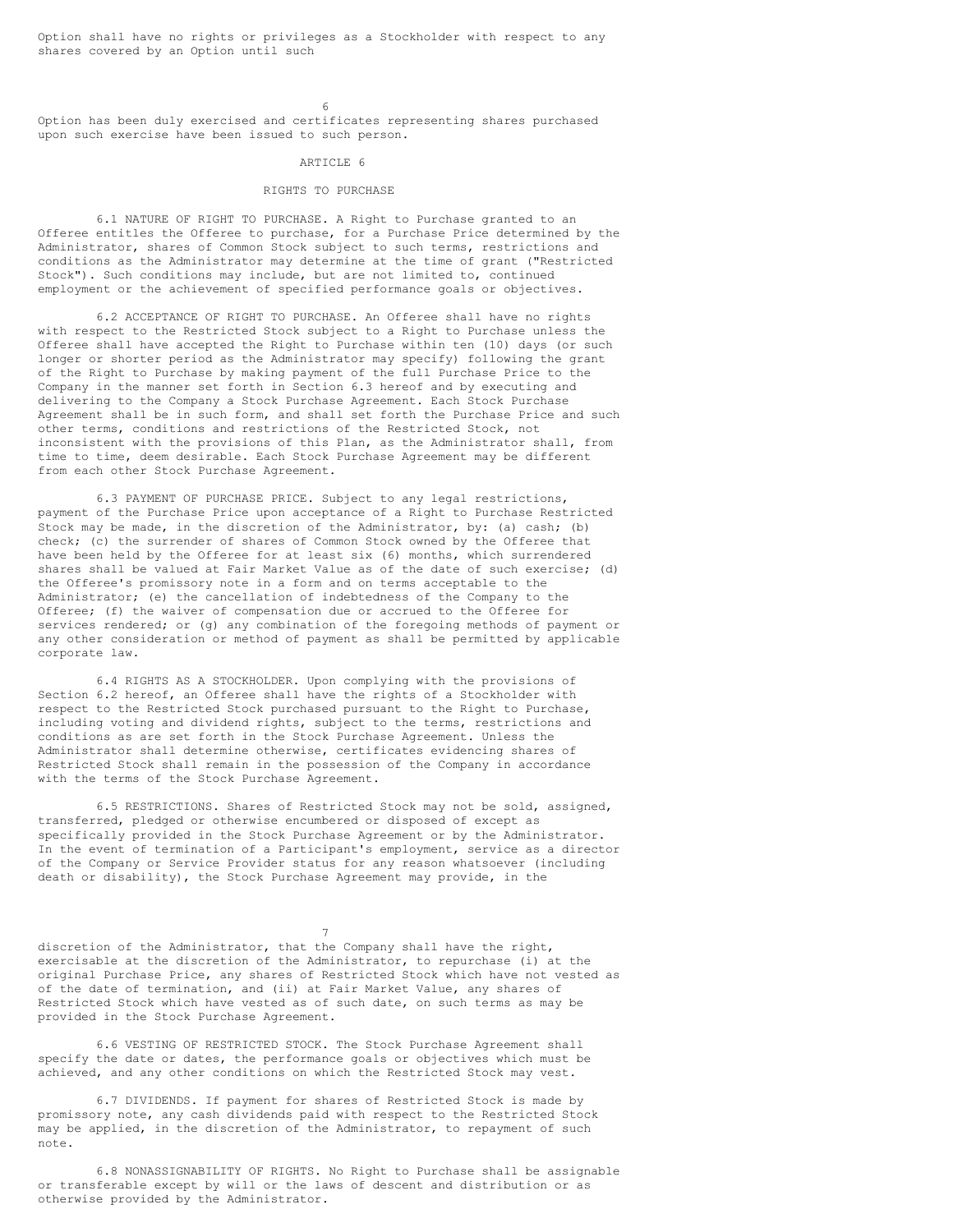Option shall have no rights or privileges as a Stockholder with respect to any shares covered by an Option until such

6

Option has been duly exercised and certificates representing shares purchased upon such exercise have been issued to such person.

#### ARTICLE 6

# RIGHTS TO PURCHASE

6.1 NATURE OF RIGHT TO PURCHASE. A Right to Purchase granted to an Offeree entitles the Offeree to purchase, for a Purchase Price determined by the Administrator, shares of Common Stock subject to such terms, restrictions and conditions as the Administrator may determine at the time of grant ("Restricted Stock"). Such conditions may include, but are not limited to, continued employment or the achievement of specified performance goals or objectives.

6.2 ACCEPTANCE OF RIGHT TO PURCHASE. An Offeree shall have no rights with respect to the Restricted Stock subject to a Right to Purchase unless the Offeree shall have accepted the Right to Purchase within ten (10) days (or such longer or shorter period as the Administrator may specify) following the grant of the Right to Purchase by making payment of the full Purchase Price to the Company in the manner set forth in Section 6.3 hereof and by executing and delivering to the Company a Stock Purchase Agreement. Each Stock Purchase Agreement shall be in such form, and shall set forth the Purchase Price and such other terms, conditions and restrictions of the Restricted Stock, not inconsistent with the provisions of this Plan, as the Administrator shall, from time to time, deem desirable. Each Stock Purchase Agreement may be different from each other Stock Purchase Agreement.

6.3 PAYMENT OF PURCHASE PRICE. Subject to any legal restrictions, payment of the Purchase Price upon acceptance of a Right to Purchase Restricted Stock may be made, in the discretion of the Administrator, by: (a) cash; (b) check; (c) the surrender of shares of Common Stock owned by the Offeree that have been held by the Offeree for at least six (6) months, which surrendered shares shall be valued at Fair Market Value as of the date of such exercise; (d) the Offeree's promissory note in a form and on terms acceptable to the Administrator; (e) the cancellation of indebtedness of the Company to the Offeree; (f) the waiver of compensation due or accrued to the Offeree for services rendered; or (g) any combination of the foregoing methods of payment or any other consideration or method of payment as shall be permitted by applicable corporate law.

6.4 RIGHTS AS A STOCKHOLDER. Upon complying with the provisions of Section 6.2 hereof, an Offeree shall have the rights of a Stockholder with respect to the Restricted Stock purchased pursuant to the Right to Purchase, including voting and dividend rights, subject to the terms, restrictions and conditions as are set forth in the Stock Purchase Agreement. Unless the Administrator shall determine otherwise, certificates evidencing shares of Restricted Stock shall remain in the possession of the Company in accordance with the terms of the Stock Purchase Agreement.

6.5 RESTRICTIONS. Shares of Restricted Stock may not be sold, assigned, transferred, pledged or otherwise encumbered or disposed of except as specifically provided in the Stock Purchase Agreement or by the Administrator. In the event of termination of a Participant's employment, service as a director of the Company or Service Provider status for any reason whatsoever (including death or disability), the Stock Purchase Agreement may provide, in the

discretion of the Administrator, that the Company shall have the right, exercisable at the discretion of the Administrator, to repurchase (i) at the original Purchase Price, any shares of Restricted Stock which have not vested as of the date of termination, and (ii) at Fair Market Value, any shares of Restricted Stock which have vested as of such date, on such terms as may be provided in the Stock Purchase Agreement.

7

6.6 VESTING OF RESTRICTED STOCK. The Stock Purchase Agreement shall specify the date or dates, the performance goals or objectives which must be achieved, and any other conditions on which the Restricted Stock may vest.

6.7 DIVIDENDS. If payment for shares of Restricted Stock is made by promissory note, any cash dividends paid with respect to the Restricted Stock may be applied, in the discretion of the Administrator, to repayment of such note.

6.8 NONASSIGNABILITY OF RIGHTS. No Right to Purchase shall be assignable or transferable except by will or the laws of descent and distribution or as otherwise provided by the Administrator.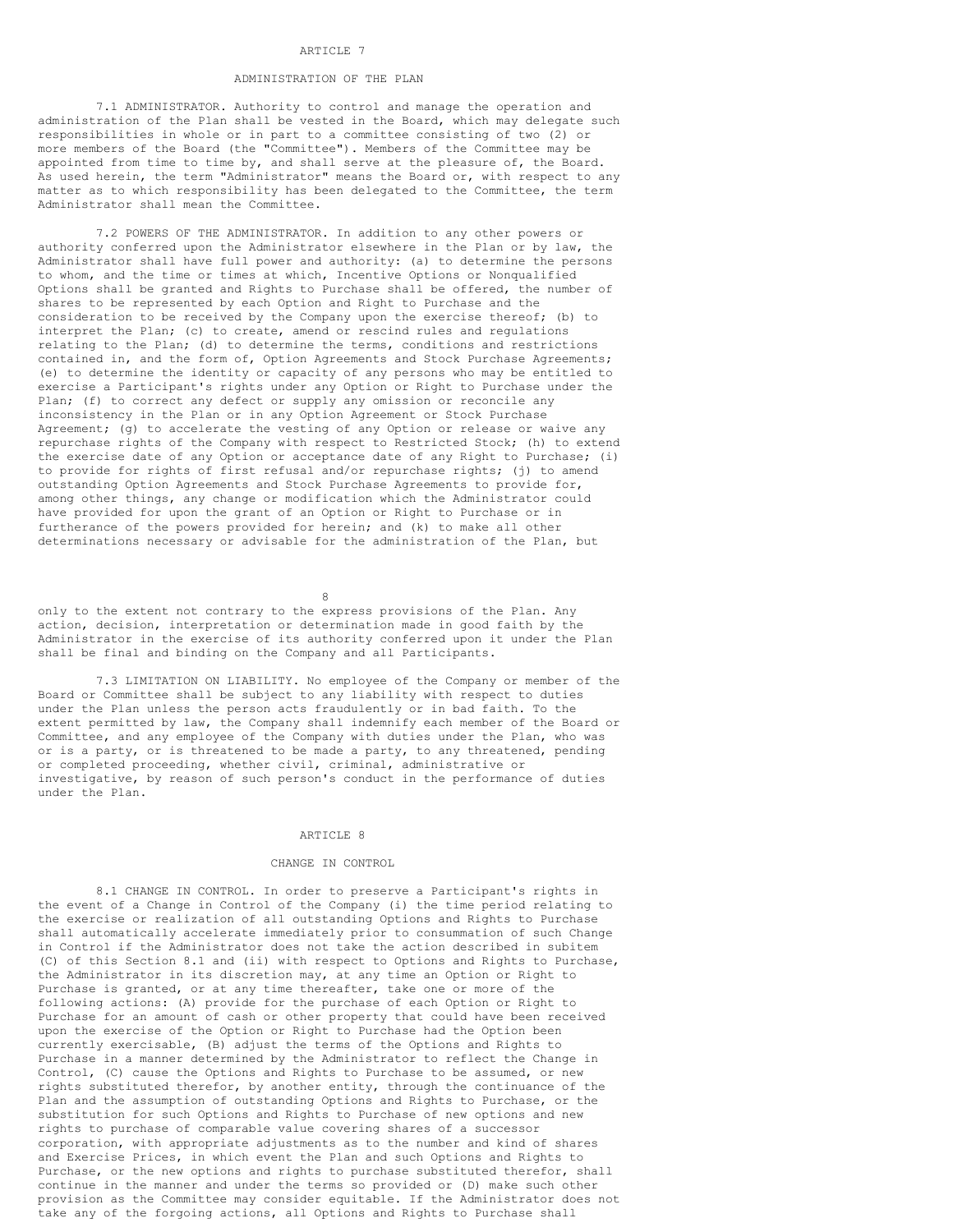### ARTICLE 7

# ADMINISTRATION OF THE PLAN

7.1 ADMINISTRATOR. Authority to control and manage the operation and administration of the Plan shall be vested in the Board, which may delegate such responsibilities in whole or in part to a committee consisting of two (2) or more members of the Board (the "Committee"). Members of the Committee may be appointed from time to time by, and shall serve at the pleasure of, the Board. As used herein, the term "Administrator" means the Board or, with respect to any matter as to which responsibility has been delegated to the Committee, the term Administrator shall mean the Committee.

7.2 POWERS OF THE ADMINISTRATOR. In addition to any other powers or authority conferred upon the Administrator elsewhere in the Plan or by law, the Administrator shall have full power and authority: (a) to determine the persons to whom, and the time or times at which, Incentive Options or Nonqualified Options shall be granted and Rights to Purchase shall be offered, the number of shares to be represented by each Option and Right to Purchase and the consideration to be received by the Company upon the exercise thereof; (b) to interpret the Plan; (c) to create, amend or rescind rules and regulations relating to the Plan; (d) to determine the terms, conditions and restrictions contained in, and the form of, Option Agreements and Stock Purchase Agreements; (e) to determine the identity or capacity of any persons who may be entitled to exercise a Participant's rights under any Option or Right to Purchase under the Plan; (f) to correct any defect or supply any omission or reconcile any inconsistency in the Plan or in any Option Agreement or Stock Purchase Agreement; (g) to accelerate the vesting of any Option or release or waive any repurchase rights of the Company with respect to Restricted Stock; (h) to extend the exercise date of any Option or acceptance date of any Right to Purchase; (i) to provide for rights of first refusal and/or repurchase rights; (j) to amend outstanding Option Agreements and Stock Purchase Agreements to provide for, among other things, any change or modification which the Administrator could have provided for upon the grant of an Option or Right to Purchase or in furtherance of the powers provided for herein; and (k) to make all other determinations necessary or advisable for the administration of the Plan, but

8

only to the extent not contrary to the express provisions of the Plan. Any action, decision, interpretation or determination made in good faith by the Administrator in the exercise of its authority conferred upon it under the Plan shall be final and binding on the Company and all Participants.

7.3 LIMITATION ON LIABILITY. No employee of the Company or member of the Board or Committee shall be subject to any liability with respect to duties under the Plan unless the person acts fraudulently or in bad faith. To the extent permitted by law, the Company shall indemnify each member of the Board or Committee, and any employee of the Company with duties under the Plan, who was or is a party, or is threatened to be made a party, to any threatened, pending or completed proceeding, whether civil, criminal, administrative or investigative, by reason of such person's conduct in the performance of duties under the Plan.

# ARTICLE 8

### CHANGE IN CONTROL

8.1 CHANGE IN CONTROL. In order to preserve a Participant's rights in the event of a Change in Control of the Company (i) the time period relating to the exercise or realization of all outstanding Options and Rights to Purchase shall automatically accelerate immediately prior to consummation of such Change in Control if the Administrator does not take the action described in subitem (C) of this Section 8.1 and (ii) with respect to Options and Rights to Purchase, the Administrator in its discretion may, at any time an Option or Right to Purchase is granted, or at any time thereafter, take one or more of the following actions: (A) provide for the purchase of each Option or Right to Purchase for an amount of cash or other property that could have been received upon the exercise of the Option or Right to Purchase had the Option been currently exercisable, (B) adjust the terms of the Options and Rights to Purchase in a manner determined by the Administrator to reflect the Change in Control, (C) cause the Options and Rights to Purchase to be assumed, or new rights substituted therefor, by another entity, through the continuance of the Plan and the assumption of outstanding Options and Rights to Purchase, or the substitution for such Options and Rights to Purchase of new options and new rights to purchase of comparable value covering shares of a successor corporation, with appropriate adjustments as to the number and kind of shares and Exercise Prices, in which event the Plan and such Options and Rights to Purchase, or the new options and rights to purchase substituted therefor, shall continue in the manner and under the terms so provided or (D) make such other provision as the Committee may consider equitable. If the Administrator does not take any of the forgoing actions, all Options and Rights to Purchase shall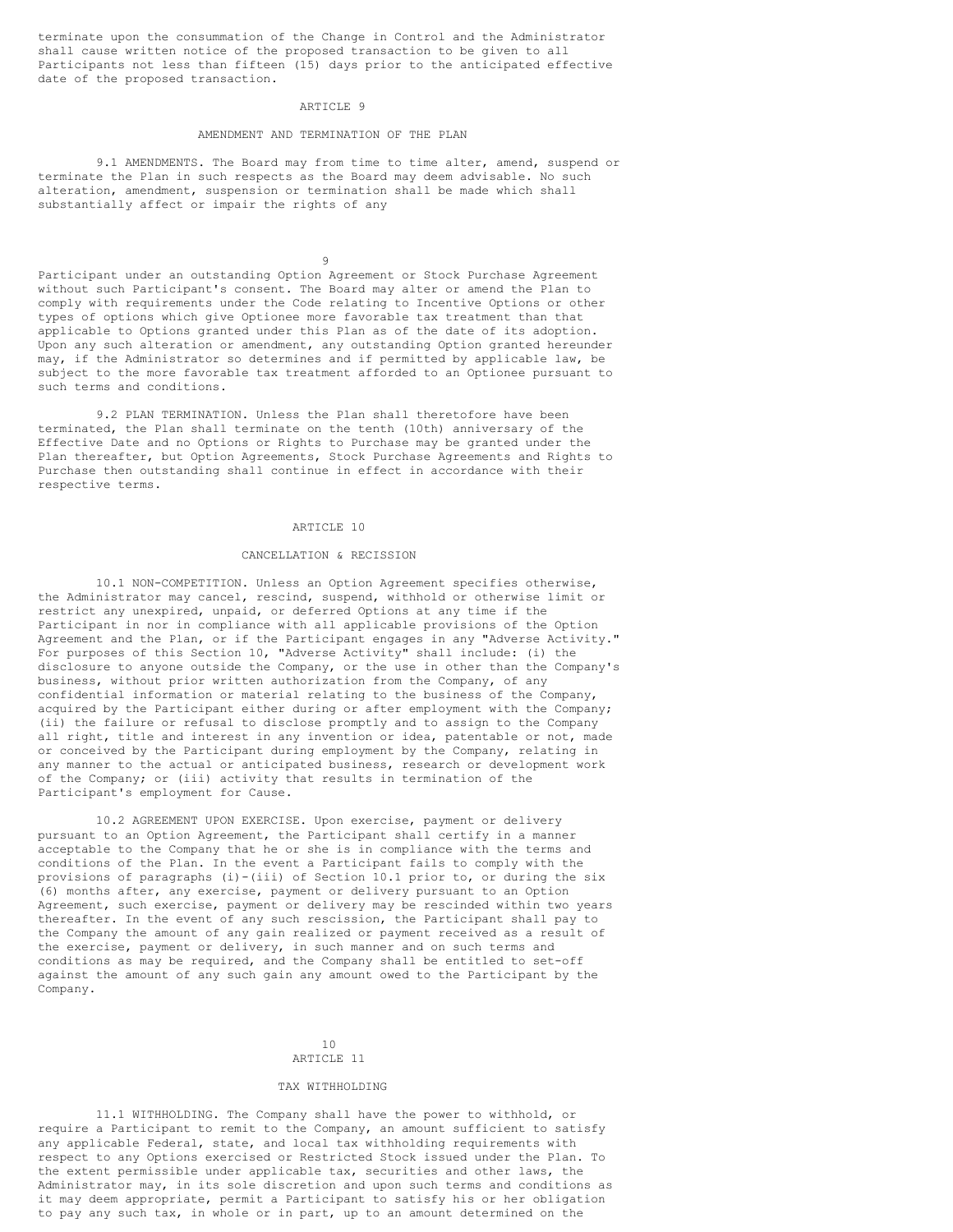terminate upon the consummation of the Change in Control and the Administrator shall cause written notice of the proposed transaction to be given to all Participants not less than fifteen (15) days prior to the anticipated effective date of the proposed transaction.

#### ARTICLE 9

# AMENDMENT AND TERMINATION OF THE PLAN

9.1 AMENDMENTS. The Board may from time to time alter, amend, suspend or terminate the Plan in such respects as the Board may deem advisable. No such alteration, amendment, suspension or termination shall be made which shall substantially affect or impair the rights of any

9

Participant under an outstanding Option Agreement or Stock Purchase Agreement without such Participant's consent. The Board may alter or amend the Plan to comply with requirements under the Code relating to Incentive Options or other types of options which give Optionee more favorable tax treatment than that applicable to Options granted under this Plan as of the date of its adoption. Upon any such alteration or amendment, any outstanding Option granted hereunder may, if the Administrator so determines and if permitted by applicable law, be subject to the more favorable tax treatment afforded to an Optionee pursuant to such terms and conditions.

9.2 PLAN TERMINATION. Unless the Plan shall theretofore have been terminated, the Plan shall terminate on the tenth (10th) anniversary of the Effective Date and no Options or Rights to Purchase may be granted under the Plan thereafter, but Option Agreements, Stock Purchase Agreements and Rights to Purchase then outstanding shall continue in effect in accordance with their respective terms.

#### ARTICLE 10

# CANCELLATION & RECISSION

10.1 NON-COMPETITION. Unless an Option Agreement specifies otherwise, the Administrator may cancel, rescind, suspend, withhold or otherwise limit or restrict any unexpired, unpaid, or deferred Options at any time if the Participant in nor in compliance with all applicable provisions of the Option Agreement and the Plan, or if the Participant engages in any "Adverse Activity." For purposes of this Section 10, "Adverse Activity" shall include: (i) the disclosure to anyone outside the Company, or the use in other than the Company's business, without prior written authorization from the Company, of any confidential information or material relating to the business of the Company, acquired by the Participant either during or after employment with the Company; (ii) the failure or refusal to disclose promptly and to assign to the Company all right, title and interest in any invention or idea, patentable or not, made or conceived by the Participant during employment by the Company, relating in any manner to the actual or anticipated business, research or development work of the Company; or (iii) activity that results in termination of the Participant's employment for Cause.

10.2 AGREEMENT UPON EXERCISE. Upon exercise, payment or delivery pursuant to an Option Agreement, the Participant shall certify in a manner acceptable to the Company that he or she is in compliance with the terms and conditions of the Plan. In the event a Participant fails to comply with the provisions of paragraphs (i)-(iii) of Section 10.1 prior to, or during the six (6) months after, any exercise, payment or delivery pursuant to an Option Agreement, such exercise, payment or delivery may be rescinded within two years thereafter. In the event of any such rescission, the Participant shall pay to the Company the amount of any gain realized or payment received as a result of the exercise, payment or delivery, in such manner and on such terms and conditions as may be required, and the Company shall be entitled to set-off against the amount of any such gain any amount owed to the Participant by the Company.

# 10 ARTICLE 11

### TAX WITHHOLDING

11.1 WITHHOLDING. The Company shall have the power to withhold, or require a Participant to remit to the Company, an amount sufficient to satisfy any applicable Federal, state, and local tax withholding requirements with respect to any Options exercised or Restricted Stock issued under the Plan. To the extent permissible under applicable tax, securities and other laws, the Administrator may, in its sole discretion and upon such terms and conditions as it may deem appropriate, permit a Participant to satisfy his or her obligation to pay any such tax, in whole or in part, up to an amount determined on the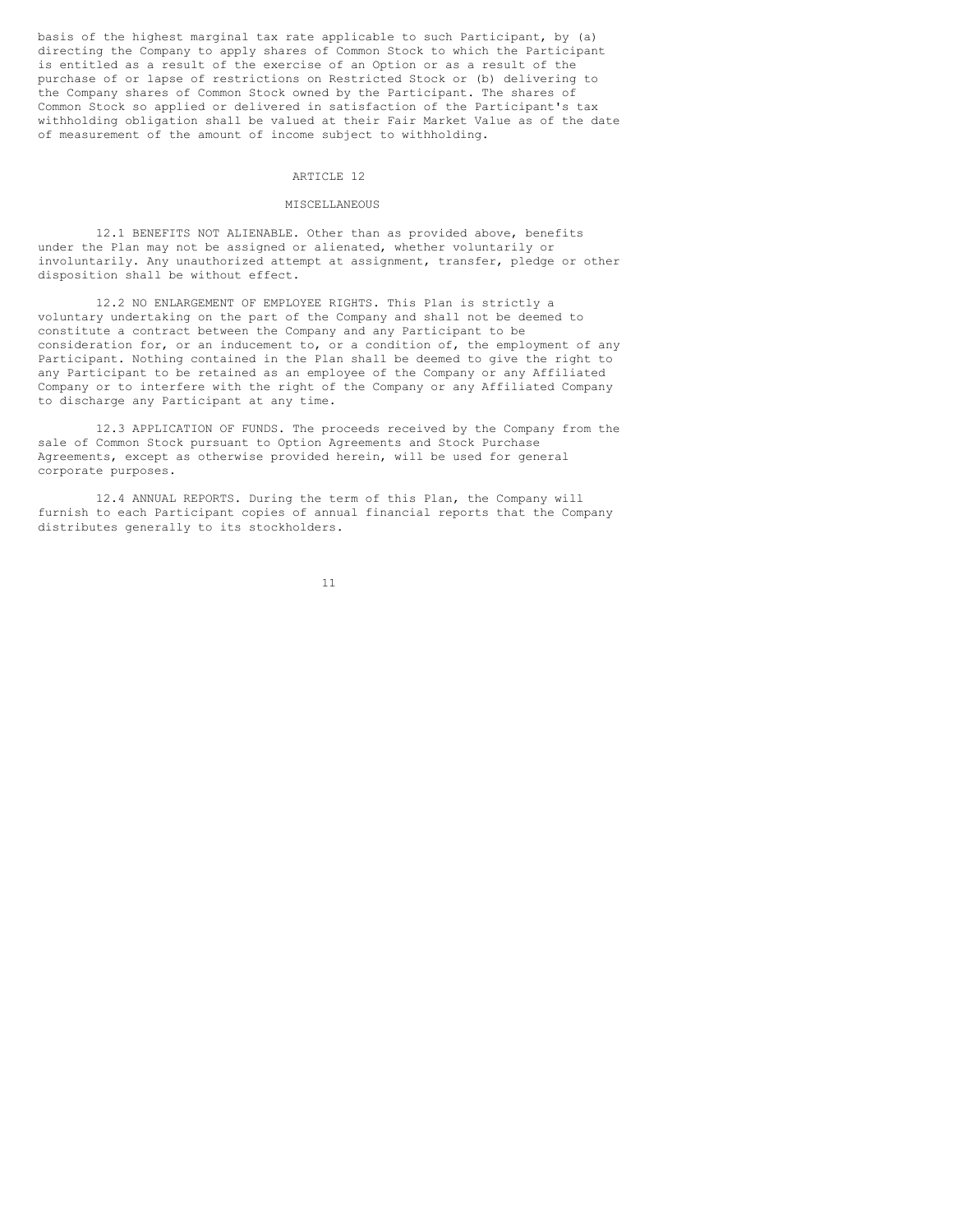basis of the highest marginal tax rate applicable to such Participant, by (a) directing the Company to apply shares of Common Stock to which the Participant is entitled as a result of the exercise of an Option or as a result of the purchase of or lapse of restrictions on Restricted Stock or (b) delivering to the Company shares of Common Stock owned by the Participant. The shares of Common Stock so applied or delivered in satisfaction of the Participant's tax withholding obligation shall be valued at their Fair Market Value as of the date of measurement of the amount of income subject to withholding.

### ARTICLE 12

### MISCELLANEOUS

12.1 BENEFITS NOT ALIENABLE. Other than as provided above, benefits under the Plan may not be assigned or alienated, whether voluntarily or involuntarily. Any unauthorized attempt at assignment, transfer, pledge or other disposition shall be without effect.

12.2 NO ENLARGEMENT OF EMPLOYEE RIGHTS. This Plan is strictly a voluntary undertaking on the part of the Company and shall not be deemed to constitute a contract between the Company and any Participant to be consideration for, or an inducement to, or a condition of, the employment of any Participant. Nothing contained in the Plan shall be deemed to give the right to any Participant to be retained as an employee of the Company or any Affiliated Company or to interfere with the right of the Company or any Affiliated Company to discharge any Participant at any time.

12.3 APPLICATION OF FUNDS. The proceeds received by the Company from the sale of Common Stock pursuant to Option Agreements and Stock Purchase Agreements, except as otherwise provided herein, will be used for general corporate purposes.

12.4 ANNUAL REPORTS. During the term of this Plan, the Company will furnish to each Participant copies of annual financial reports that the Company distributes generally to its stockholders.

11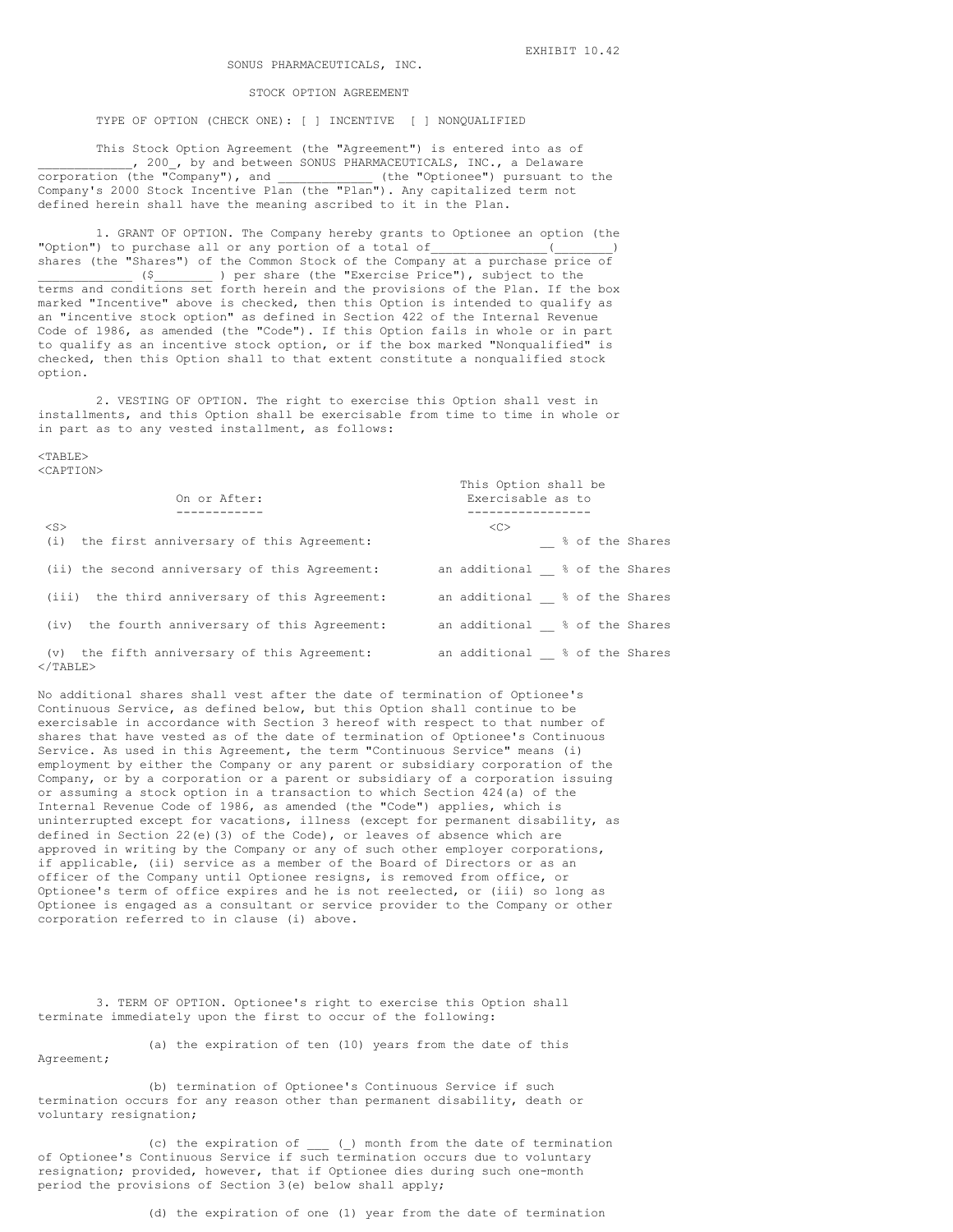#### STOCK OPTION AGREEMENT

TYPE OF OPTION (CHECK ONE): [ ] INCENTIVE [ ] NONQUALIFIED

This Stock Option Agreement (the "Agreement") is entered into as of 1 200 , by and between SONUS PHARMACEUTICALS, INC., a Delaware<br>(the "Company"), and (the "Optionee") pursuant to the corporation (the "Company"), and \_\_\_\_\_\_\_\_\_\_\_\_\_ (the "Optionee") pursuant to the Company's 2000 Stock Incentive Plan (the "Plan"). Any capitalized term not defined herein shall have the meaning ascribed to it in the Plan.

1. GRANT OF OPTION. The Company hereby grants to Optionee an option (the "Option") to purchase all or any portion of a total of\_\_\_\_\_\_\_\_\_\_\_\_\_\_\_\_(\_\_\_\_\_\_\_\_) shares (the "Shares") of the Common Stock of the Company at a purchase price of \_\_\_\_\_\_\_\_\_\_\_\_\_ (\$\_\_\_\_\_\_\_\_ ) per share (the "Exercise Price"), subject to the terms and conditions set forth herein and the provisions of the Plan. If the box marked "Incentive" above is checked, then this Option is intended to qualify as an "incentive stock option" as defined in Section 422 of the Internal Revenue Code of l986, as amended (the "Code"). If this Option fails in whole or in part to qualify as an incentive stock option, or if the box marked "Nonqualified" is checked, then this Option shall to that extent constitute a nonqualified stock option.

2. VESTING OF OPTION. The right to exercise this Option shall vest in installments, and this Option shall be exercisable from time to time in whole or in part as to any vested installment, as follows:

#### $<$ TABLE> <CAPTION>

| On or After:                                                      | This Option shall be<br>Exercisable as to |  |  |
|-------------------------------------------------------------------|-------------------------------------------|--|--|
| $<$ S><br>the first anniversary of this Agreement:<br>(i)         | <<<br>% of the Shares                     |  |  |
| (ii) the second anniversary of this Agreement:                    | an additional % of the Shares             |  |  |
| (iii) the third anniversary of this Agreement:                    | an additional % of the Shares             |  |  |
| (iv) the fourth anniversary of this Agreement:                    | an additional % of the Shares             |  |  |
| (v) the fifth anniversary of this Agreement:<br>$\langle$ /TABLE> | an additional % of the Shares             |  |  |

No additional shares shall vest after the date of termination of Optionee's Continuous Service, as defined below, but this Option shall continue to be exercisable in accordance with Section 3 hereof with respect to that number of shares that have vested as of the date of termination of Optionee's Continuous Service. As used in this Agreement, the term "Continuous Service" means (i) employment by either the Company or any parent or subsidiary corporation of the Company, or by a corporation or a parent or subsidiary of a corporation issuing or assuming a stock option in a transaction to which Section 424(a) of the Internal Revenue Code of 1986, as amended (the "Code") applies, which is uninterrupted except for vacations, illness (except for permanent disability, as defined in Section 22(e)(3) of the Code), or leaves of absence which are approved in writing by the Company or any of such other employer corporations, if applicable, (ii) service as a member of the Board of Directors or as an officer of the Company until Optionee resigns, is removed from office, or Optionee's term of office expires and he is not reelected, or (iii) so long as Optionee is engaged as a consultant or service provider to the Company or other corporation referred to in clause (i) above.

3. TERM OF OPTION. Optionee's right to exercise this Option shall terminate immediately upon the first to occur of the following:

(a) the expiration of ten (10) years from the date of this Agreement;

(b) termination of Optionee's Continuous Service if such termination occurs for any reason other than permanent disability, death or voluntary resignation;

(c) the expiration of \_\_\_ (\_) month from the date of termination of Optionee's Continuous Service if such termination occurs due to voluntary resignation; provided, however, that if Optionee dies during such one-month period the provisions of Section 3(e) below shall apply;

(d) the expiration of one (1) year from the date of termination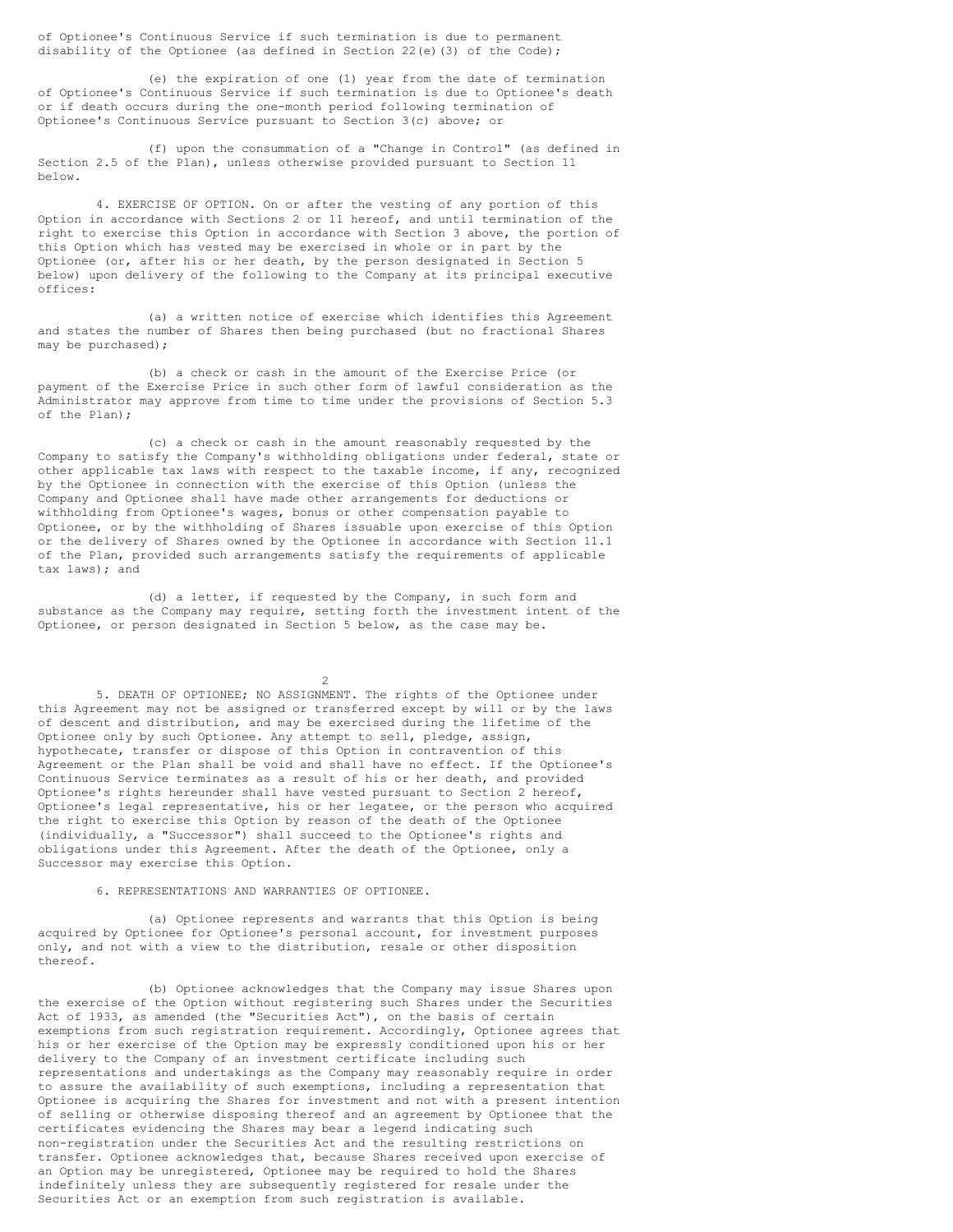of Optionee's Continuous Service if such termination is due to permanent disability of the Optionee (as defined in Section 22(e)(3) of the Code);

(e) the expiration of one (1) year from the date of termination of Optionee's Continuous Service if such termination is due to Optionee's death or if death occurs during the one-month period following termination of Optionee's Continuous Service pursuant to Section 3(c) above; or

(f) upon the consummation of a "Change in Control" (as defined in Section 2.5 of the Plan), unless otherwise provided pursuant to Section 11 below.

4. EXERCISE OF OPTION. On or after the vesting of any portion of this Option in accordance with Sections 2 or 11 hereof, and until termination of the right to exercise this Option in accordance with Section 3 above, the portion of this Option which has vested may be exercised in whole or in part by the Optionee (or, after his or her death, by the person designated in Section 5 below) upon delivery of the following to the Company at its principal executive offices:

(a) a written notice of exercise which identifies this Agreement and states the number of Shares then being purchased (but no fractional Shares may be purchased);

(b) a check or cash in the amount of the Exercise Price (or payment of the Exercise Price in such other form of lawful consideration as the Administrator may approve from time to time under the provisions of Section 5.3 of the Plan);

(c) a check or cash in the amount reasonably requested by the Company to satisfy the Company's withholding obligations under federal, state or other applicable tax laws with respect to the taxable income, if any, recognized by the Optionee in connection with the exercise of this Option (unless the Company and Optionee shall have made other arrangements for deductions or withholding from Optionee's wages, bonus or other compensation payable to Optionee, or by the withholding of Shares issuable upon exercise of this Option or the delivery of Shares owned by the Optionee in accordance with Section 11.1 of the Plan, provided such arrangements satisfy the requirements of applicable tax laws); and

(d) a letter, if requested by the Company, in such form and substance as the Company may require, setting forth the investment intent of the Optionee, or person designated in Section 5 below, as the case may be.

 $\mathfrak{D}$ 

5. DEATH OF OPTIONEE; NO ASSIGNMENT. The rights of the Optionee under this Agreement may not be assigned or transferred except by will or by the laws of descent and distribution, and may be exercised during the lifetime of the Optionee only by such Optionee. Any attempt to sell, pledge, assign, hypothecate, transfer or dispose of this Option in contravention of this Agreement or the Plan shall be void and shall have no effect. If the Optionee's Continuous Service terminates as a result of his or her death, and provided Optionee's rights hereunder shall have vested pursuant to Section 2 hereof, Optionee's legal representative, his or her legatee, or the person who acquired the right to exercise this Option by reason of the death of the Optionee (individually, a "Successor") shall succeed to the Optionee's rights and obligations under this Agreement. After the death of the Optionee, only a Successor may exercise this Option.

6. REPRESENTATIONS AND WARRANTIES OF OPTIONEE.

(a) Optionee represents and warrants that this Option is being acquired by Optionee for Optionee's personal account, for investment purposes only, and not with a view to the distribution, resale or other disposition thereof.

(b) Optionee acknowledges that the Company may issue Shares upon the exercise of the Option without registering such Shares under the Securities Act of l933, as amended (the "Securities Act"), on the basis of certain exemptions from such registration requirement. Accordingly, Optionee agrees that his or her exercise of the Option may be expressly conditioned upon his or her delivery to the Company of an investment certificate including such representations and undertakings as the Company may reasonably require in order to assure the availability of such exemptions, including a representation that Optionee is acquiring the Shares for investment and not with a present intention of selling or otherwise disposing thereof and an agreement by Optionee that the certificates evidencing the Shares may bear a legend indicating such non-registration under the Securities Act and the resulting restrictions on transfer. Optionee acknowledges that, because Shares received upon exercise of an Option may be unregistered, Optionee may be required to hold the Shares indefinitely unless they are subsequently registered for resale under the Securities Act or an exemption from such registration is available.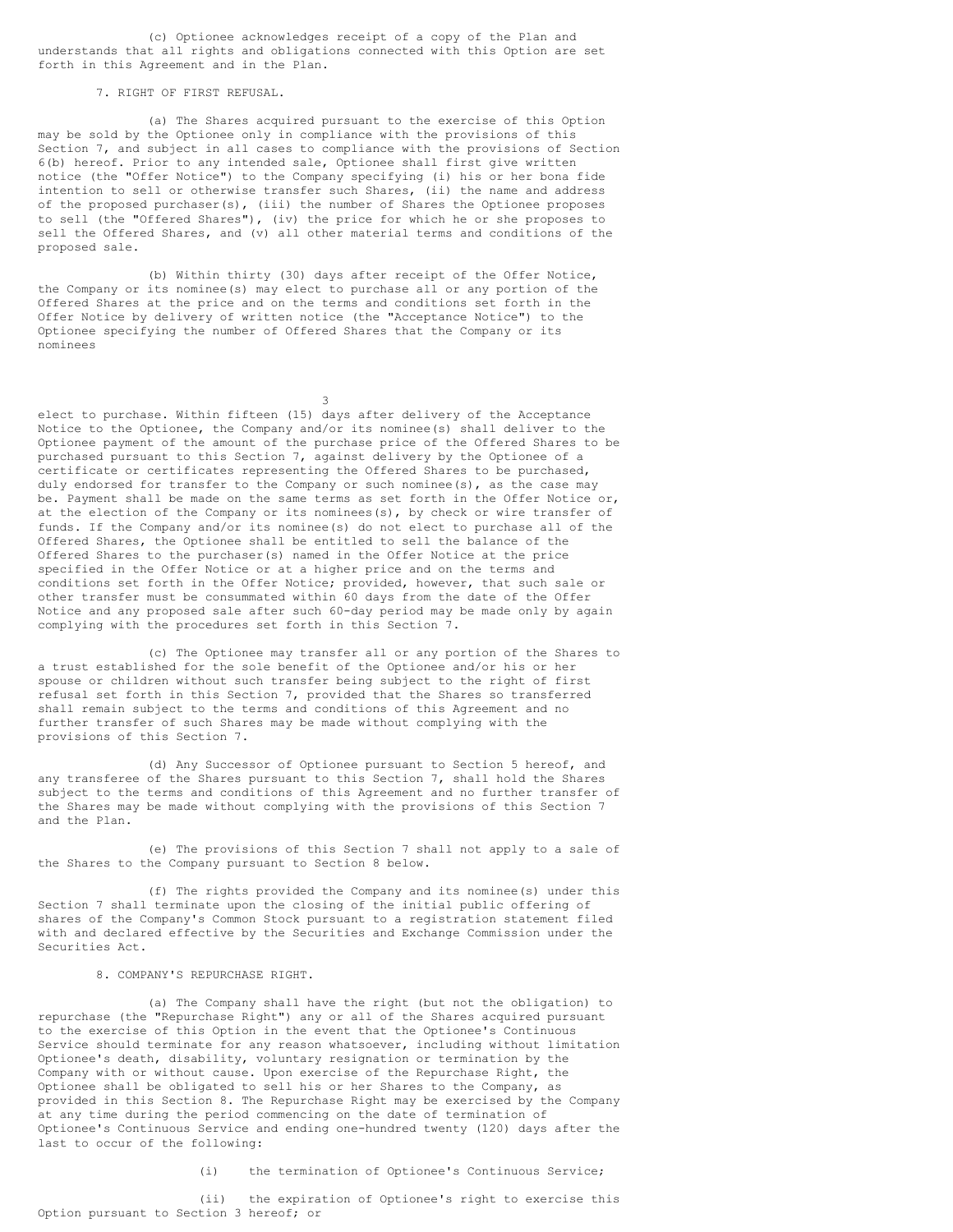(c) Optionee acknowledges receipt of a copy of the Plan and understands that all rights and obligations connected with this Option are set forth in this Agreement and in the Plan.

### 7. RIGHT OF FIRST REFUSAL.

(a) The Shares acquired pursuant to the exercise of this Option may be sold by the Optionee only in compliance with the provisions of this Section 7, and subject in all cases to compliance with the provisions of Section 6(b) hereof. Prior to any intended sale, Optionee shall first give written notice (the "Offer Notice") to the Company specifying (i) his or her bona fide intention to sell or otherwise transfer such Shares, (ii) the name and address of the proposed purchaser(s), (iii) the number of Shares the Optionee proposes to sell (the "Offered Shares"), (iv) the price for which he or she proposes to sell the Offered Shares, and (v) all other material terms and conditions of the proposed sale.

(b) Within thirty (30) days after receipt of the Offer Notice, the Company or its nominee(s) may elect to purchase all or any portion of the Offered Shares at the price and on the terms and conditions set forth in the Offer Notice by delivery of written notice (the "Acceptance Notice") to the Optionee specifying the number of Offered Shares that the Company or its nominees

3

elect to purchase. Within fifteen (15) days after delivery of the Acceptance Notice to the Optionee, the Company and/or its nominee(s) shall deliver to the Optionee payment of the amount of the purchase price of the Offered Shares to be purchased pursuant to this Section 7, against delivery by the Optionee of a certificate or certificates representing the Offered Shares to be purchased, duly endorsed for transfer to the Company or such nominee(s), as the case may be. Payment shall be made on the same terms as set forth in the Offer Notice or, at the election of the Company or its nominees(s), by check or wire transfer of funds. If the Company and/or its nominee(s) do not elect to purchase all of the Offered Shares, the Optionee shall be entitled to sell the balance of the Offered Shares to the purchaser(s) named in the Offer Notice at the price specified in the Offer Notice or at a higher price and on the terms and conditions set forth in the Offer Notice; provided, however, that such sale or other transfer must be consummated within 60 days from the date of the Offer Notice and any proposed sale after such 60-day period may be made only by again complying with the procedures set forth in this Section 7.

(c) The Optionee may transfer all or any portion of the Shares to a trust established for the sole benefit of the Optionee and/or his or her spouse or children without such transfer being subject to the right of first refusal set forth in this Section 7, provided that the Shares so transferred shall remain subject to the terms and conditions of this Agreement and no further transfer of such Shares may be made without complying with the provisions of this Section 7.

(d) Any Successor of Optionee pursuant to Section 5 hereof, and any transferee of the Shares pursuant to this Section 7, shall hold the Shares subject to the terms and conditions of this Agreement and no further transfer of the Shares may be made without complying with the provisions of this Section 7 and the Plan.

(e) The provisions of this Section 7 shall not apply to a sale of the Shares to the Company pursuant to Section 8 below.

(f) The rights provided the Company and its nominee(s) under this Section 7 shall terminate upon the closing of the initial public offering of shares of the Company's Common Stock pursuant to a registration statement filed with and declared effective by the Securities and Exchange Commission under the Securities Act.

# 8. COMPANY'S REPURCHASE RIGHT.

(a) The Company shall have the right (but not the obligation) to repurchase (the "Repurchase Right") any or all of the Shares acquired pursuant to the exercise of this Option in the event that the Optionee's Continuous Service should terminate for any reason whatsoever, including without limitation Optionee's death, disability, voluntary resignation or termination by the Company with or without cause. Upon exercise of the Repurchase Right, the Optionee shall be obligated to sell his or her Shares to the Company, as provided in this Section 8. The Repurchase Right may be exercised by the Company at any time during the period commencing on the date of termination of Optionee's Continuous Service and ending one-hundred twenty (120) days after the last to occur of the following:

(i) the termination of Optionee's Continuous Service;

(ii) the expiration of Optionee's right to exercise this Option pursuant to Section 3 hereof; or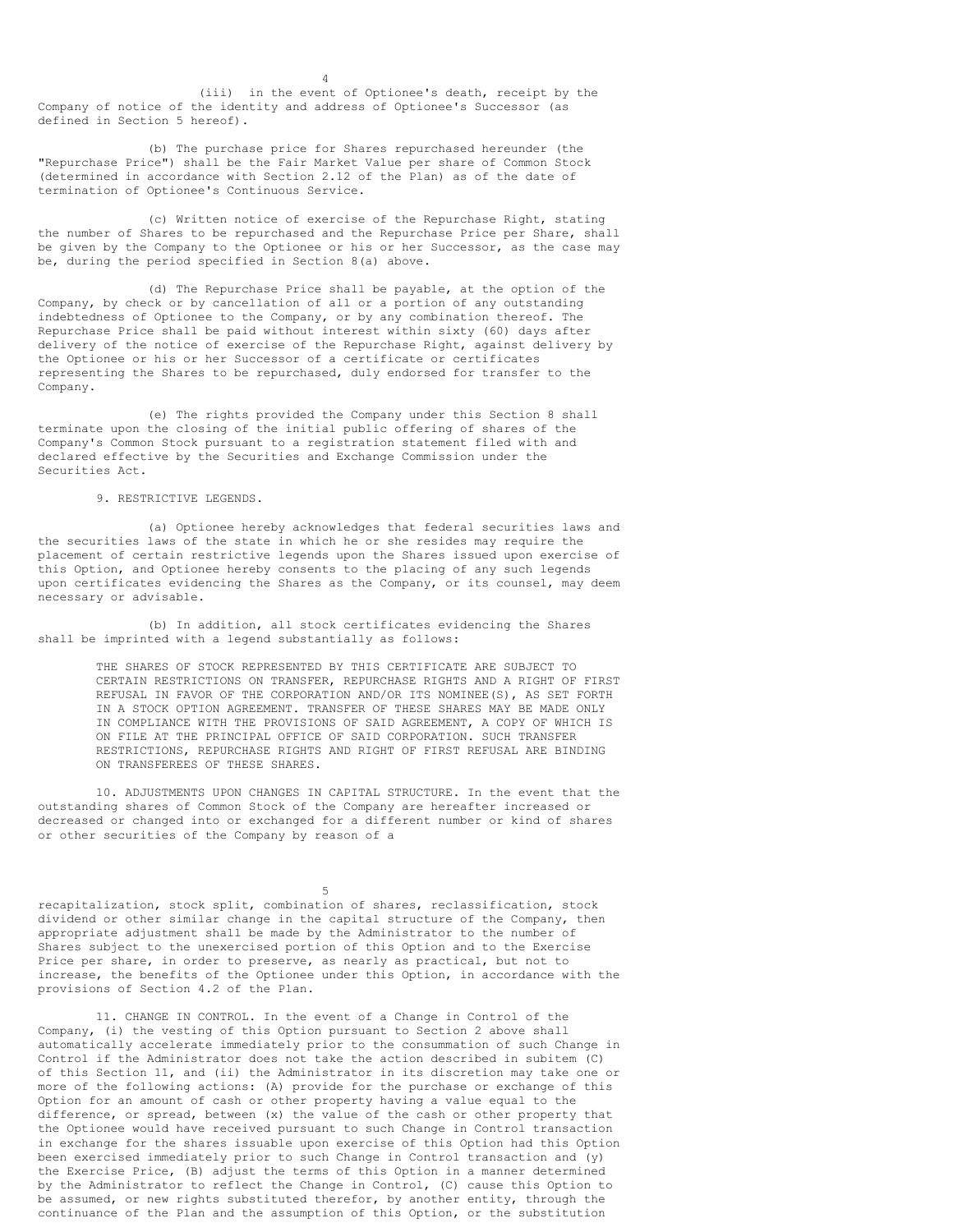(iii) in the event of Optionee's death, receipt by the Company of notice of the identity and address of Optionee's Successor (as defined in Section 5 hereof).

4

(b) The purchase price for Shares repurchased hereunder (the "Repurchase Price") shall be the Fair Market Value per share of Common Stock (determined in accordance with Section 2.12 of the Plan) as of the date of termination of Optionee's Continuous Service.

(c) Written notice of exercise of the Repurchase Right, stating the number of Shares to be repurchased and the Repurchase Price per Share, shall be given by the Company to the Optionee or his or her Successor, as the case may be, during the period specified in Section 8(a) above.

(d) The Repurchase Price shall be payable, at the option of the Company, by check or by cancellation of all or a portion of any outstanding indebtedness of Optionee to the Company, or by any combination thereof. The Repurchase Price shall be paid without interest within sixty (60) days after delivery of the notice of exercise of the Repurchase Right, against delivery by the Optionee or his or her Successor of a certificate or certificates representing the Shares to be repurchased, duly endorsed for transfer to the Company.

(e) The rights provided the Company under this Section 8 shall terminate upon the closing of the initial public offering of shares of the Company's Common Stock pursuant to a registration statement filed with and declared effective by the Securities and Exchange Commission under the Securities Act.

9. RESTRICTIVE LEGENDS.

(a) Optionee hereby acknowledges that federal securities laws and the securities laws of the state in which he or she resides may require the placement of certain restrictive legends upon the Shares issued upon exercise of this Option, and Optionee hereby consents to the placing of any such legends upon certificates evidencing the Shares as the Company, or its counsel, may deem necessary or advisable.

(b) In addition, all stock certificates evidencing the Shares shall be imprinted with a legend substantially as follows:

> THE SHARES OF STOCK REPRESENTED BY THIS CERTIFICATE ARE SUBJECT TO CERTAIN RESTRICTIONS ON TRANSFER, REPURCHASE RIGHTS AND A RIGHT OF FIRST REFUSAL IN FAVOR OF THE CORPORATION AND/OR ITS NOMINEE(S), AS SET FORTH IN A STOCK OPTION AGREEMENT. TRANSFER OF THESE SHARES MAY BE MADE ONLY IN COMPLIANCE WITH THE PROVISIONS OF SAID AGREEMENT, A COPY OF WHICH IS ON FILE AT THE PRINCIPAL OFFICE OF SAID CORPORATION. SUCH TRANSFER RESTRICTIONS, REPURCHASE RIGHTS AND RIGHT OF FIRST REFUSAL ARE BINDING ON TRANSFEREES OF THESE SHARES.

10. ADJUSTMENTS UPON CHANGES IN CAPITAL STRUCTURE. In the event that the outstanding shares of Common Stock of the Company are hereafter increased or decreased or changed into or exchanged for a different number or kind of shares or other securities of the Company by reason of a

5

recapitalization, stock split, combination of shares, reclassification, stock dividend or other similar change in the capital structure of the Company, then appropriate adjustment shall be made by the Administrator to the number of Shares subject to the unexercised portion of this Option and to the Exercise Price per share, in order to preserve, as nearly as practical, but not to increase, the benefits of the Optionee under this Option, in accordance with the provisions of Section 4.2 of the Plan.

11. CHANGE IN CONTROL. In the event of a Change in Control of the Company, (i) the vesting of this Option pursuant to Section 2 above shall automatically accelerate immediately prior to the consummation of such Change in Control if the Administrator does not take the action described in subitem (C) of this Section 11, and (ii) the Administrator in its discretion may take one or more of the following actions: (A) provide for the purchase or exchange of this Option for an amount of cash or other property having a value equal to the difference, or spread, between (x) the value of the cash or other property that the Optionee would have received pursuant to such Change in Control transaction in exchange for the shares issuable upon exercise of this Option had this Option been exercised immediately prior to such Change in Control transaction and (y) the Exercise Price, (B) adjust the terms of this Option in a manner determined by the Administrator to reflect the Change in Control, (C) cause this Option to be assumed, or new rights substituted therefor, by another entity, through the continuance of the Plan and the assumption of this Option, or the substitution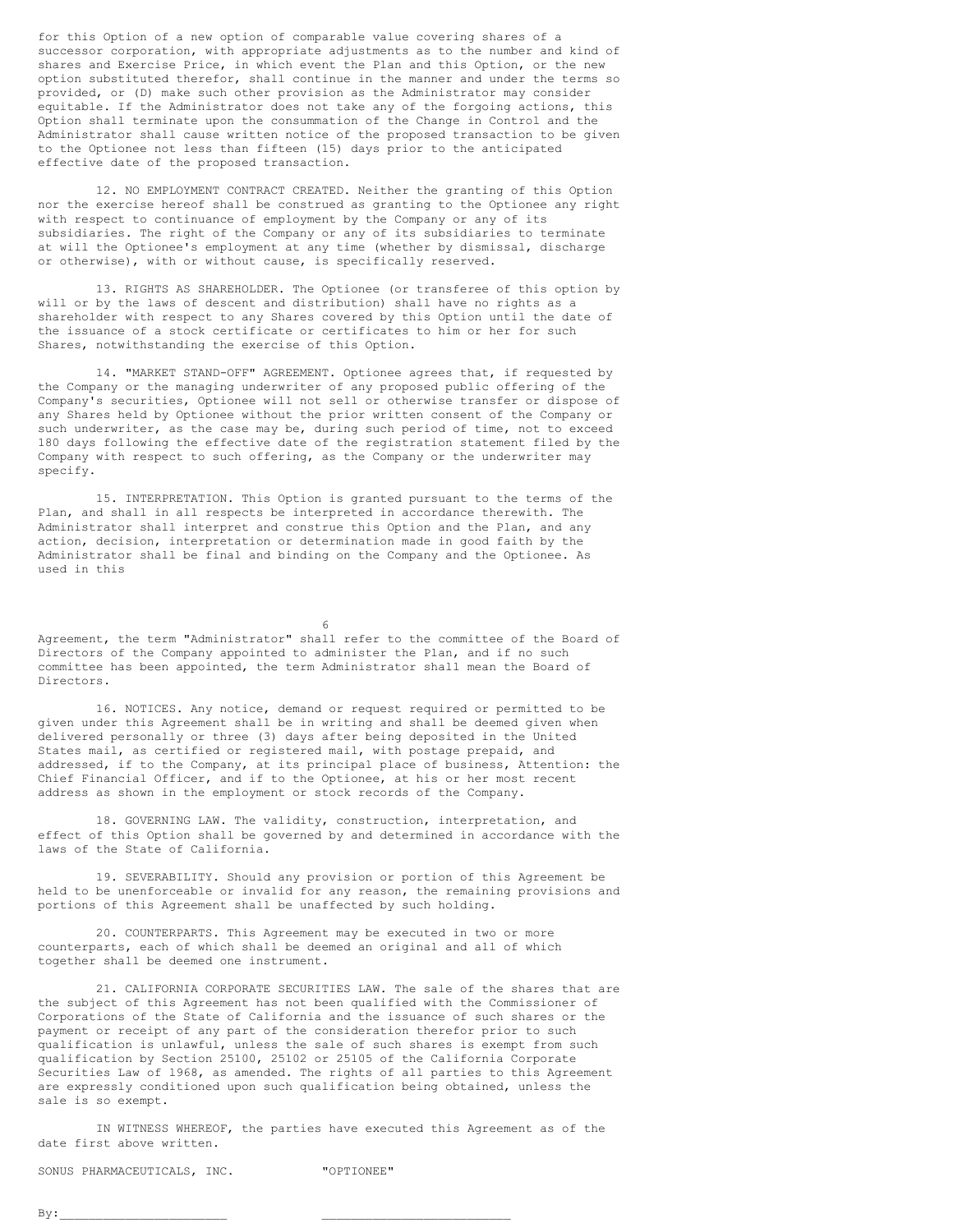for this Option of a new option of comparable value covering shares of a successor corporation, with appropriate adjustments as to the number and kind of shares and Exercise Price, in which event the Plan and this Option, or the new option substituted therefor, shall continue in the manner and under the terms so provided, or (D) make such other provision as the Administrator may consider equitable. If the Administrator does not take any of the forgoing actions, this Option shall terminate upon the consummation of the Change in Control and the Administrator shall cause written notice of the proposed transaction to be given to the Optionee not less than fifteen (15) days prior to the anticipated effective date of the proposed transaction.

12. NO EMPLOYMENT CONTRACT CREATED. Neither the granting of this Option nor the exercise hereof shall be construed as granting to the Optionee any right with respect to continuance of employment by the Company or any of its subsidiaries. The right of the Company or any of its subsidiaries to terminate at will the Optionee's employment at any time (whether by dismissal, discharge or otherwise), with or without cause, is specifically reserved.

13. RIGHTS AS SHAREHOLDER. The Optionee (or transferee of this option by will or by the laws of descent and distribution) shall have no rights as a shareholder with respect to any Shares covered by this Option until the date of the issuance of a stock certificate or certificates to him or her for such Shares, notwithstanding the exercise of this Option.

14. "MARKET STAND-OFF" AGREEMENT. Optionee agrees that, if requested by the Company or the managing underwriter of any proposed public offering of the Company's securities, Optionee will not sell or otherwise transfer or dispose of any Shares held by Optionee without the prior written consent of the Company or such underwriter, as the case may be, during such period of time, not to exceed 180 days following the effective date of the registration statement filed by the Company with respect to such offering, as the Company or the underwriter may specify.

15. INTERPRETATION. This Option is granted pursuant to the terms of the Plan, and shall in all respects be interpreted in accordance therewith. The Administrator shall interpret and construe this Option and the Plan, and any action, decision, interpretation or determination made in good faith by the Administrator shall be final and binding on the Company and the Optionee. As used in this

6

Agreement, the term "Administrator" shall refer to the committee of the Board of Directors of the Company appointed to administer the Plan, and if no such committee has been appointed, the term Administrator shall mean the Board of Directors.

16. NOTICES. Any notice, demand or request required or permitted to be given under this Agreement shall be in writing and shall be deemed given when delivered personally or three (3) days after being deposited in the United States mail, as certified or registered mail, with postage prepaid, and addressed, if to the Company, at its principal place of business, Attention: the Chief Financial Officer, and if to the Optionee, at his or her most recent address as shown in the employment or stock records of the Company.

18. GOVERNING LAW. The validity, construction, interpretation, and effect of this Option shall be governed by and determined in accordance with the laws of the State of California.

19. SEVERABILITY. Should any provision or portion of this Agreement be held to be unenforceable or invalid for any reason, the remaining provisions and portions of this Agreement shall be unaffected by such holding.

20. COUNTERPARTS. This Agreement may be executed in two or more counterparts, each of which shall be deemed an original and all of which together shall be deemed one instrument.

21. CALIFORNIA CORPORATE SECURITIES LAW. The sale of the shares that are the subject of this Agreement has not been qualified with the Commissioner of Corporations of the State of California and the issuance of such shares or the payment or receipt of any part of the consideration therefor prior to such qualification is unlawful, unless the sale of such shares is exempt from such qualification by Section 25100, 25102 or 25105 of the California Corporate Securities Law of l968, as amended. The rights of all parties to this Agreement are expressly conditioned upon such qualification being obtained, unless the sale is so exempt.

IN WITNESS WHEREOF, the parties have executed this Agreement as of the date first above written.

SONUS PHARMACEUTICALS, INC. "OPTIONEE"

 $\texttt{By:}\quad$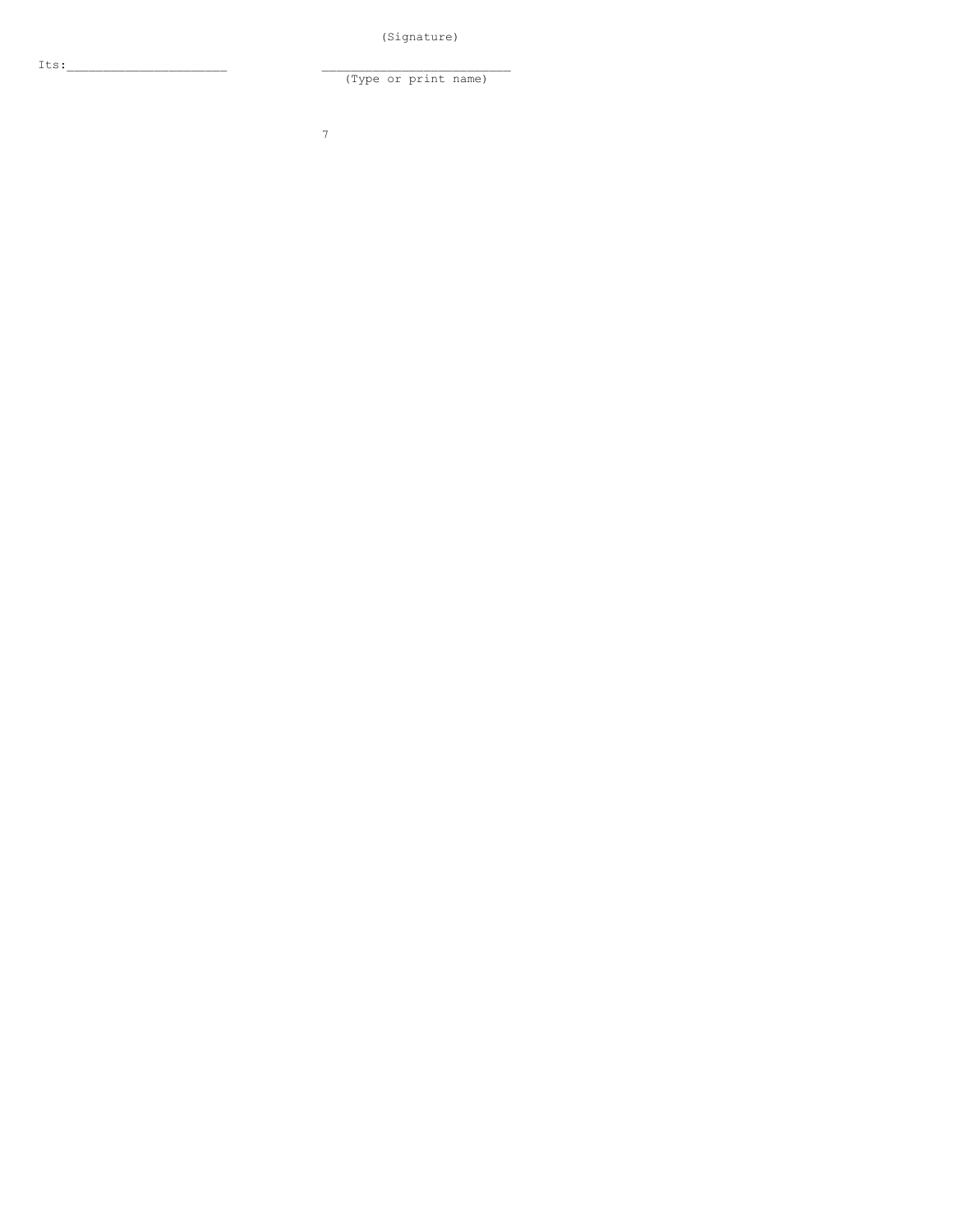(Signature)

(Type or print name)

7

Its: